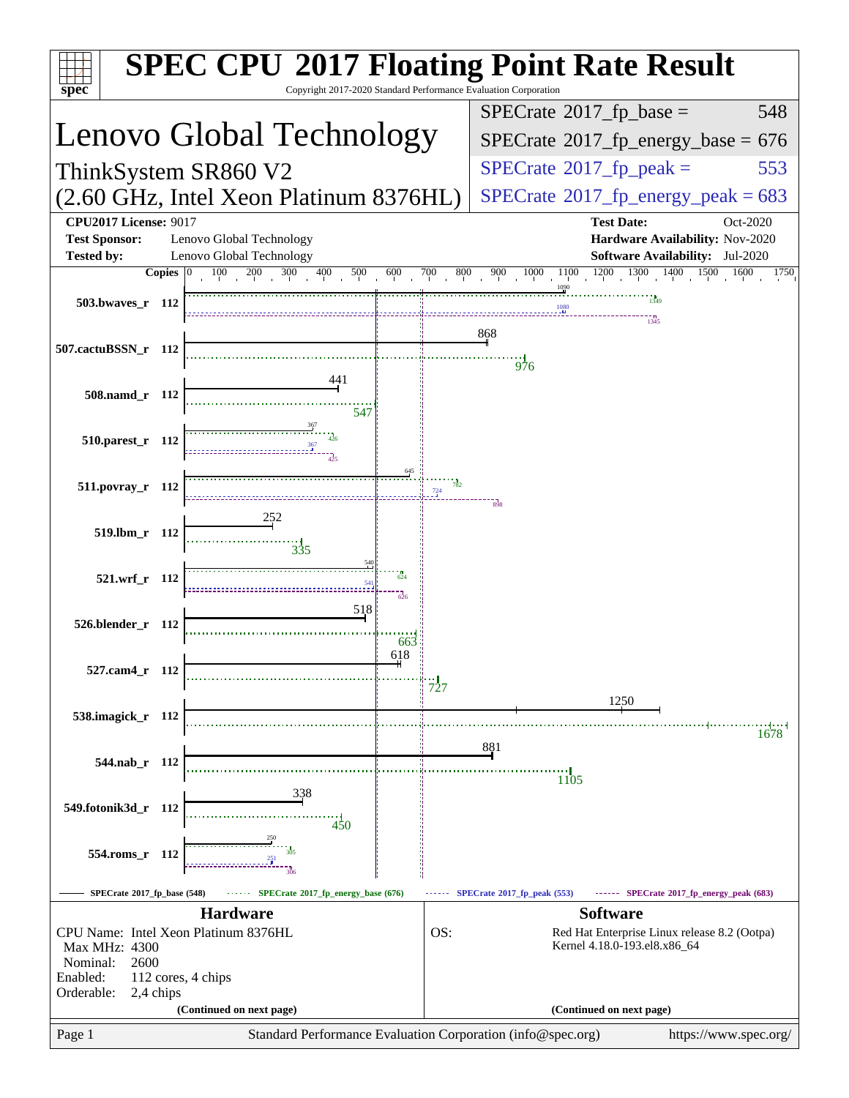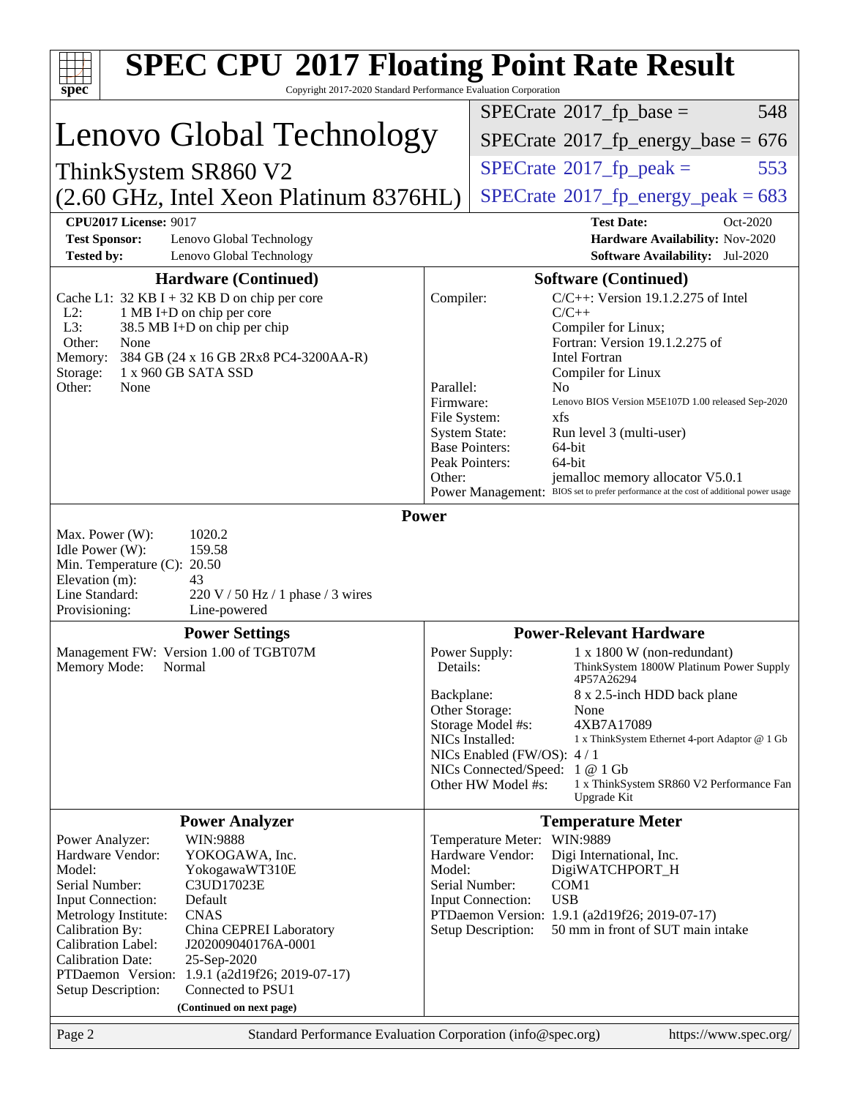| <b>SPEC CPU®2017 Floating Point Rate Result</b>                                                                                                                                                                                                                                                                                                                                                                                                                                     |                                                                             |                                                                                                                                                                                                                                                                                                                                                                                                                              |
|-------------------------------------------------------------------------------------------------------------------------------------------------------------------------------------------------------------------------------------------------------------------------------------------------------------------------------------------------------------------------------------------------------------------------------------------------------------------------------------|-----------------------------------------------------------------------------|------------------------------------------------------------------------------------------------------------------------------------------------------------------------------------------------------------------------------------------------------------------------------------------------------------------------------------------------------------------------------------------------------------------------------|
| Copyright 2017-2020 Standard Performance Evaluation Corporation<br>$spec^*$                                                                                                                                                                                                                                                                                                                                                                                                         |                                                                             | $SPECTate$ <sup>®</sup> 2017_fp_base =<br>548                                                                                                                                                                                                                                                                                                                                                                                |
| Lenovo Global Technology                                                                                                                                                                                                                                                                                                                                                                                                                                                            |                                                                             |                                                                                                                                                                                                                                                                                                                                                                                                                              |
|                                                                                                                                                                                                                                                                                                                                                                                                                                                                                     |                                                                             | $SPECTate$ <sup>®</sup> 2017_fp_energy_base = 676                                                                                                                                                                                                                                                                                                                                                                            |
| ThinkSystem SR860 V2                                                                                                                                                                                                                                                                                                                                                                                                                                                                |                                                                             | $SPECTate$ <sup>®</sup> 2017_fp_peak =<br>553                                                                                                                                                                                                                                                                                                                                                                                |
| (2.60 GHz, Intel Xeon Platinum 8376HL)                                                                                                                                                                                                                                                                                                                                                                                                                                              |                                                                             | $SPECTate$ <sup>®</sup> 2017_fp_energy_peak = 683                                                                                                                                                                                                                                                                                                                                                                            |
| <b>CPU2017 License: 9017</b><br><b>Test Sponsor:</b><br>Lenovo Global Technology<br><b>Tested by:</b><br>Lenovo Global Technology                                                                                                                                                                                                                                                                                                                                                   |                                                                             | <b>Test Date:</b><br>Oct-2020<br>Hardware Availability: Nov-2020<br>Software Availability: Jul-2020                                                                                                                                                                                                                                                                                                                          |
| <b>Hardware (Continued)</b><br>Cache L1: $32$ KB I + 32 KB D on chip per core<br>$L2$ :<br>1 MB I+D on chip per core<br>L3:<br>38.5 MB I+D on chip per chip<br>Other:<br>None<br>384 GB (24 x 16 GB 2Rx8 PC4-3200AA-R)<br>Memory:<br>Storage:<br>1 x 960 GB SATA SSD<br>Other:<br>None                                                                                                                                                                                              | Compiler:<br>Parallel:<br>Firmware:<br>File System:<br><b>System State:</b> | <b>Software (Continued)</b><br>$C/C++$ : Version 19.1.2.275 of Intel<br>$C/C++$<br>Compiler for Linux;<br>Fortran: Version 19.1.2.275 of<br><b>Intel Fortran</b><br>Compiler for Linux<br>N <sub>0</sub><br>Lenovo BIOS Version M5E107D 1.00 released Sep-2020<br>xfs<br>Run level 3 (multi-user)                                                                                                                            |
|                                                                                                                                                                                                                                                                                                                                                                                                                                                                                     | Other:                                                                      | <b>Base Pointers:</b><br>64-bit<br>Peak Pointers:<br>64-bit<br>jemalloc memory allocator V5.0.1<br>Power Management: BIOS set to prefer performance at the cost of additional power usage                                                                                                                                                                                                                                    |
| 1020.2<br>Max. Power (W):<br>159.58<br>Idle Power (W):<br>Min. Temperature (C): 20.50<br>Elevation (m):<br>43<br>Line Standard:<br>$220 \text{ V}$ / 50 Hz / 1 phase / 3 wires<br>Provisioning:<br>Line-powered                                                                                                                                                                                                                                                                     |                                                                             |                                                                                                                                                                                                                                                                                                                                                                                                                              |
| <b>Power Settings</b>                                                                                                                                                                                                                                                                                                                                                                                                                                                               |                                                                             | <b>Power-Relevant Hardware</b>                                                                                                                                                                                                                                                                                                                                                                                               |
| Management FW: Version 1.00 of TGBT07M<br>Memory Mode: Normal                                                                                                                                                                                                                                                                                                                                                                                                                       | Details:<br>Backplane:                                                      | $1 \times 1800$ W (non-redundant)<br>Power Supply:<br>ThinkSystem 1800W Platinum Power Supply<br>4P57A26294<br>8 x 2.5-inch HDD back plane<br>Other Storage:<br>None<br>4XB7A17089<br>Storage Model #s:<br>NICs Installed:<br>1 x ThinkSystem Ethernet 4-port Adaptor @ 1 Gb<br>NICs Enabled (FW/OS): 4/1<br>NICs Connected/Speed: 1 @ 1 Gb<br>Other HW Model #s:<br>1 x ThinkSystem SR860 V2 Performance Fan<br>Upgrade Kit |
| <b>Power Analyzer</b>                                                                                                                                                                                                                                                                                                                                                                                                                                                               |                                                                             | <b>Temperature Meter</b>                                                                                                                                                                                                                                                                                                                                                                                                     |
| WIN:9888<br>Power Analyzer:<br>Hardware Vendor:<br>YOKOGAWA, Inc.<br>Model:<br>YokogawaWT310E<br>Serial Number:<br>C3UD17023E<br>Input Connection:<br>Default<br><b>CNAS</b><br>Metrology Institute:<br>Calibration By:<br>China CEPREI Laboratory<br>Calibration Label:<br>J202009040176A-0001<br><b>Calibration Date:</b><br>25-Sep-2020<br>PTDaemon <sup>™</sup> Version:<br>1.9.1 (a2d19f26; 2019-07-17)<br>Connected to PSU1<br>Setup Description:<br>(Continued on next page) | Model:                                                                      | Temperature Meter: WIN:9889<br>Hardware Vendor:<br>Digi International, Inc.<br>DigiWATCHPORT_H<br>Serial Number:<br>COM <sub>1</sub><br>Input Connection:<br><b>USB</b><br>PTDaemon Version: 1.9.1 (a2d19f26; 2019-07-17)<br>Setup Description:<br>50 mm in front of SUT main intake                                                                                                                                         |
| Page 2<br>Standard Performance Evaluation Corporation (info@spec.org)                                                                                                                                                                                                                                                                                                                                                                                                               |                                                                             | https://www.spec.org/                                                                                                                                                                                                                                                                                                                                                                                                        |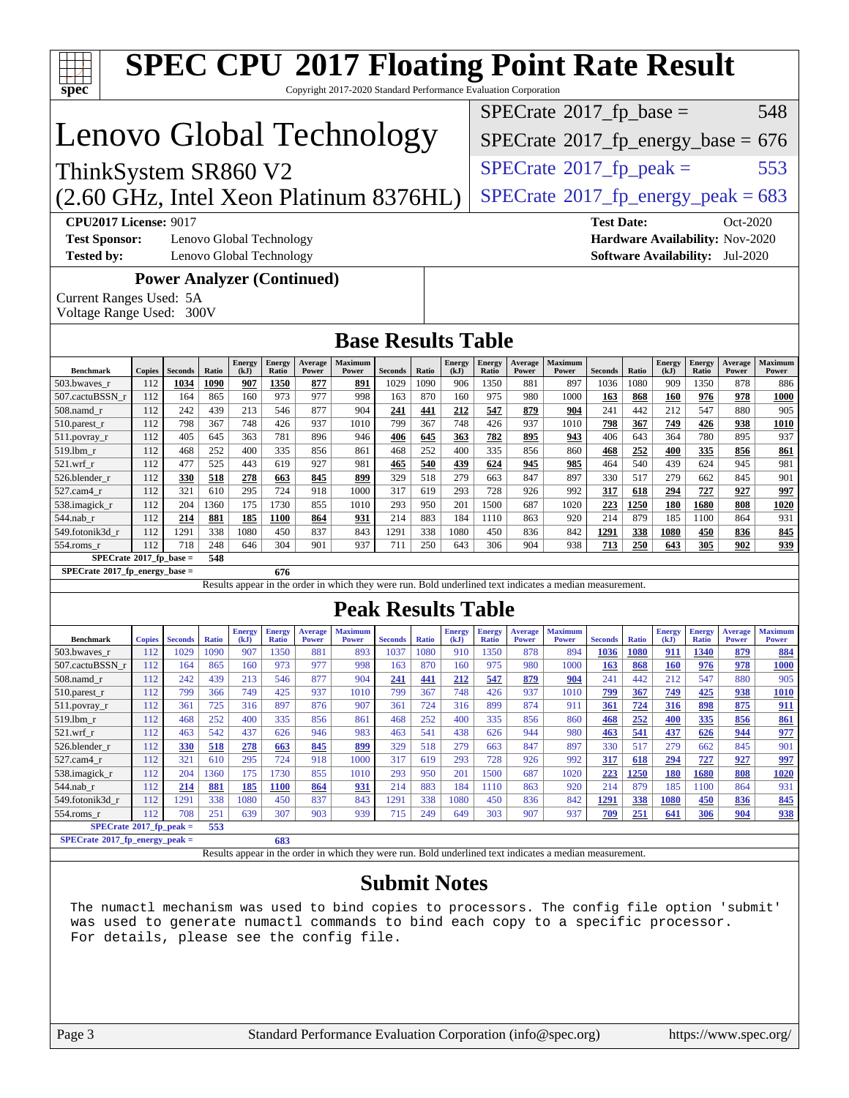|                                                                                                                                                                                                                                                                                                                                                                                                     |               |                   |              |                       |                               |                                   | <b>SPEC CPU®2017 Floating Point Rate Result</b><br>Copyright 2017-2020 Standard Performance Evaluation Corporation |                |              |                       |                               |                         |                                                   |                    |                    |                       |                               |                                |                                |
|-----------------------------------------------------------------------------------------------------------------------------------------------------------------------------------------------------------------------------------------------------------------------------------------------------------------------------------------------------------------------------------------------------|---------------|-------------------|--------------|-----------------------|-------------------------------|-----------------------------------|--------------------------------------------------------------------------------------------------------------------|----------------|--------------|-----------------------|-------------------------------|-------------------------|---------------------------------------------------|--------------------|--------------------|-----------------------|-------------------------------|--------------------------------|--------------------------------|
| spec <sup>®</sup>                                                                                                                                                                                                                                                                                                                                                                                   |               |                   |              |                       |                               |                                   |                                                                                                                    |                |              |                       |                               |                         | $SPECrate^{\circ}2017$ _fp_base =                 |                    |                    |                       |                               |                                | 548                            |
| Lenovo Global Technology                                                                                                                                                                                                                                                                                                                                                                            |               |                   |              |                       |                               |                                   |                                                                                                                    |                |              |                       |                               |                         | $SPECTate$ <sup>®</sup> 2017_fp_energy_base = 676 |                    |                    |                       |                               |                                |                                |
|                                                                                                                                                                                                                                                                                                                                                                                                     |               |                   |              |                       |                               |                                   |                                                                                                                    |                |              |                       |                               |                         |                                                   |                    |                    |                       |                               |                                |                                |
| ThinkSystem SR860 V2                                                                                                                                                                                                                                                                                                                                                                                |               |                   |              |                       |                               |                                   |                                                                                                                    |                |              |                       |                               |                         | $SPECTate$ <sup>®</sup> 2017_fp_peak =            |                    |                    |                       |                               |                                | 553                            |
| (2.60 GHz, Intel Xeon Platinum 8376HL)                                                                                                                                                                                                                                                                                                                                                              |               |                   |              |                       |                               |                                   |                                                                                                                    |                |              |                       |                               |                         | $SPECTate@2017_fp\_energy\_peak = 683$            |                    |                    |                       |                               |                                |                                |
| <b>CPU2017 License: 9017</b><br><b>Test Date:</b><br>Oct-2020<br><b>Test Sponsor:</b><br>Lenovo Global Technology<br>Hardware Availability: Nov-2020<br><b>Tested by:</b><br>Lenovo Global Technology<br>Software Availability: Jul-2020                                                                                                                                                            |               |                   |              |                       |                               |                                   |                                                                                                                    |                |              |                       |                               |                         |                                                   |                    |                    |                       |                               |                                |                                |
| Current Ranges Used: 5A<br>Voltage Range Used: 300V                                                                                                                                                                                                                                                                                                                                                 |               |                   |              |                       |                               | <b>Power Analyzer (Continued)</b> |                                                                                                                    |                |              |                       |                               |                         |                                                   |                    |                    |                       |                               |                                |                                |
|                                                                                                                                                                                                                                                                                                                                                                                                     |               |                   |              |                       |                               |                                   | <b>Base Results Table</b>                                                                                          |                |              |                       |                               |                         |                                                   |                    |                    |                       |                               |                                |                                |
| <b>Benchmark</b>                                                                                                                                                                                                                                                                                                                                                                                    | <b>Copies</b> | <b>Seconds</b>    | Ratio        | <b>Energy</b><br>(kJ) | Energy<br>Ratio               | Average<br>Power                  | <b>Maximum</b><br>Power                                                                                            | <b>Seconds</b> | Ratio        | <b>Energy</b><br>(kJ) | <b>Energy</b><br>Ratio        | Average<br>Power        | Maximum<br>Power                                  | <b>Seconds</b>     | Ratio              | <b>Energy</b><br>(kJ) | <b>Energy</b><br>Ratio        | Average<br>Power               | Maximum<br>Power               |
| 503.bwaves_r<br>507.cactuBSSN_r                                                                                                                                                                                                                                                                                                                                                                     | 112<br>112    | 1034<br>164       | 1090<br>865  | 907<br>160            | 1350<br>973                   | 877<br>977                        | 891<br>998                                                                                                         | 1029<br>163    | 1090<br>870  | 906<br>160            | 1350<br>975                   | 881<br>980              | 897<br>1000                                       | 1036<br>163        | 1080<br>868        | 909<br><b>160</b>     | 1350<br>976                   | 878<br>978                     | 886<br><b>1000</b>             |
| $508$ .namd_r                                                                                                                                                                                                                                                                                                                                                                                       | 112           | 242               | 439          | 213                   | 546                           | 877                               | 904                                                                                                                | 241            | 441          | 212                   | 547                           | 879                     | 904                                               | 241                | 442                | 212                   | 547                           | 880                            | 905                            |
| $510.parest_r$<br>$511.$ povray_r                                                                                                                                                                                                                                                                                                                                                                   | 112<br>112    | 798<br>405        | 367<br>645   | 748<br>363            | 426<br>781                    | 937<br>896                        | 1010<br>946                                                                                                        | 799<br>406     | 367<br>645   | 748<br>363            | 426<br>782                    | 937<br>895              | 1010<br>943                                       | 798<br>406         | 367<br>643         | <u>749</u><br>364     | 426<br>780                    | 938<br>895                     | <b>1010</b><br>937             |
| 519.1bm_r                                                                                                                                                                                                                                                                                                                                                                                           | 112           | 468               | 252          | 400                   | 335                           | 856                               | 861                                                                                                                | 468            | 252          | 400                   | 335                           | 856                     | 860                                               | <u>468</u>         | 252                | 400                   | 335                           | 856                            | 861                            |
| $521.wrf_r$<br>526.blender r                                                                                                                                                                                                                                                                                                                                                                        | 112<br>112    | 477<br>330        | 525<br>518   | 443<br>278            | 619<br>663                    | 927<br>845                        | 981<br>899                                                                                                         | 465<br>329     | 540<br>518   | 439<br>279            | 624<br>663                    | 945<br>847              | 985<br>897                                        | 464<br>330         | 540<br>517         | 439<br>279            | 624<br>662                    | 945<br>845                     | 981<br>901                     |
| 527.cam4_r                                                                                                                                                                                                                                                                                                                                                                                          | 112           | 321               | 610          | 295                   | 724                           | 918                               | 1000                                                                                                               | 317            | 619          | 293                   | 728                           | 926                     | 992                                               | 317                | 618                | 294                   | 727                           | 927                            | 997                            |
| 538.imagick_r                                                                                                                                                                                                                                                                                                                                                                                       | 112           | 204               | 1360         | 175                   | 1730                          | 855                               | 1010                                                                                                               | 293            | 950          | 201                   | 1500                          | 687                     | 1020                                              | 223                | 1250               | 180                   | 1680                          | 808                            | 1020                           |
| $544$ .nab_r<br>549.fotonik3d_r                                                                                                                                                                                                                                                                                                                                                                     | 112<br>112    | 214<br>1291       | 881<br>338   | <u>185</u><br>1080    | 1100<br>450                   | 864<br>837                        | 931<br>843                                                                                                         | 214<br>1291    | 883<br>338   | 184<br>1080           | 1110<br>450                   | 863<br>836              | 920<br>842                                        | 214<br>1291        | 879<br>338         | 185<br>1080           | 1100<br>450                   | 864<br>836                     | 931<br>845                     |
| 554.roms r                                                                                                                                                                                                                                                                                                                                                                                          | 112           | 718               | 248          | 646                   | 304                           | 901                               | 937                                                                                                                | 711            | 250          | 643                   | 306                           | 904                     | 938                                               | 713                | 250                | 643                   | 305                           | 902                            | 939                            |
| $SPECrate*2017_fp\_base =$<br>$SPECrate*2017_fp_energy_base =$                                                                                                                                                                                                                                                                                                                                      |               |                   | 548          |                       | 676                           |                                   |                                                                                                                    |                |              |                       |                               |                         |                                                   |                    |                    |                       |                               |                                |                                |
|                                                                                                                                                                                                                                                                                                                                                                                                     |               |                   |              |                       |                               |                                   | Results appear in the order in which they were run. Bold underlined text indicates a median measurement.           |                |              |                       |                               |                         |                                                   |                    |                    |                       |                               |                                |                                |
|                                                                                                                                                                                                                                                                                                                                                                                                     |               |                   |              |                       |                               |                                   | <b>Peak Results Table</b>                                                                                          |                |              |                       |                               |                         |                                                   |                    |                    |                       |                               |                                |                                |
| <b>Benchmark</b>                                                                                                                                                                                                                                                                                                                                                                                    | <b>Copies</b> | <b>Seconds</b>    | <b>Ratio</b> | <b>Energy</b><br>(kJ) | <b>Energy</b><br><b>Ratio</b> | <b>Average</b><br><b>Power</b>    | <b>Maximum</b><br><b>Power</b>                                                                                     | <b>Seconds</b> | <b>Ratio</b> | <b>Energy</b><br>(kJ) | <b>Energy</b><br><b>Ratio</b> | Average<br><b>Power</b> | <b>Maximum</b><br><b>Power</b>                    | <b>Seconds</b>     | <b>Ratio</b>       | <b>Energy</b><br>(kJ) | <b>Energy</b><br><b>Ratio</b> | <b>Average</b><br><b>Power</b> | <b>Maximum</b><br><b>Power</b> |
| 503.bwayes r<br>507.cactuBSSN r                                                                                                                                                                                                                                                                                                                                                                     | 112<br>112    | 1029<br>164       | 1090<br>865  | 907<br>160            | 1350<br>973                   | 881<br>977                        | 893<br>998                                                                                                         | 1037<br>163    | 1080<br>870  | 910<br>160            | 1350<br>975                   | 878<br>980              | 894<br>1000                                       | 1036<br>163        | <b>1080</b><br>868 | 911<br><b>160</b>     | 1340<br>976                   | 879<br>978                     | 884<br><b>1000</b>             |
| $508$ .namd $r$                                                                                                                                                                                                                                                                                                                                                                                     | 112           | 242               | 439          | 213                   | 546                           | 877                               | 904                                                                                                                | 241            | <u>441</u>   | <u> 212</u>           | <u>547</u>                    | 879                     | 904                                               | 241                | 442                | 212                   | 547                           | 880                            | 905                            |
| $510.parest_r$                                                                                                                                                                                                                                                                                                                                                                                      | 112           | 799               | 366          | 749                   | 425                           | 937                               | 1010                                                                                                               | 799            | 367          | 748                   | 426                           | 937                     | 1010                                              | 799                | 367                | 749                   | 425                           | 938                            | <u> 1010</u>                   |
| 511.povray_r<br>$519.$ lbm_r                                                                                                                                                                                                                                                                                                                                                                        | 112<br>112    | 361<br>468        | 725<br>252   | 316<br>400            | 897<br>335                    | 876<br>856                        | 907<br>861                                                                                                         | 361<br>468     | 724<br>252   | 316<br>400            | 899<br>335                    | 874<br>856              | 911<br>860                                        | 361<br>468         | 724<br>252         | 316<br>400            | 898<br>335                    | 875<br>856                     | <u>911</u><br>861              |
| $521.wrf_r$                                                                                                                                                                                                                                                                                                                                                                                         | 112           | 463               | 542          | 437                   | 626                           | 946                               | 983                                                                                                                | 463            | 541          | 438                   | 626                           | 944                     | 980                                               | <u>463</u>         | 541                | 437                   | 626                           | 944                            | <u>977</u>                     |
| 526.blender_r<br>$527.cam4_r$                                                                                                                                                                                                                                                                                                                                                                       | 112<br>112    | <b>330</b><br>321 | 518<br>610   | <u>278</u><br>295     | 663<br>724                    | 845<br>918                        | 899<br>1000                                                                                                        | 329<br>317     | 518<br>619   | 279<br>293            | 663<br>728                    | 847<br>926              | 897<br>992                                        | 330<br>317         | 517<br><u>618</u>  | 279<br><u>294</u>     | 662<br>727                    | 845<br>927                     | 901<br>997                     |
| 538.imagick_r                                                                                                                                                                                                                                                                                                                                                                                       | 112           | 204               | 1360         | 175                   | 1730                          | 855                               | 1010                                                                                                               | 293            | 950          | 201                   | 1500                          | 687                     | 1020                                              | 223                | 1250               | <b>180</b>            | 1680                          | 808                            | 1020                           |
| $544$ .nab_r                                                                                                                                                                                                                                                                                                                                                                                        | 112           | 214               | 881          | 185                   | <b>1100</b>                   | 864                               | 931                                                                                                                | 214            | 883          | 184                   | 1110                          | 863                     | 920                                               | 214                | 879                | 185                   | 1100                          | 864                            | 931                            |
| 549.fotonik3d_r<br>$554$ .roms $r$                                                                                                                                                                                                                                                                                                                                                                  | 112<br>112    | 1291<br>708       | 338<br>251   | 1080<br>639           | 450<br>307                    | 837<br>903                        | 843<br>939                                                                                                         | 1291<br>715    | 338<br>249   | 1080<br>649           | 450<br>303                    | 836<br>907              | 842<br>937                                        | <u>1291</u><br>709 | 338<br>251         | 1080<br>641           | 450<br>306                    | 836<br>904                     | 845<br><u>938</u>              |
| $SPECrate*2017_fp_peak =$                                                                                                                                                                                                                                                                                                                                                                           |               |                   | 553          |                       |                               |                                   |                                                                                                                    |                |              |                       |                               |                         |                                                   |                    |                    |                       |                               |                                |                                |
|                                                                                                                                                                                                                                                                                                                                                                                                     |               |                   |              |                       | 683                           |                                   |                                                                                                                    |                |              |                       |                               |                         |                                                   |                    |                    |                       |                               |                                |                                |
| $SPECrate*2017_fp_energy_peak =$<br>Results appear in the order in which they were run. Bold underlined text indicates a median measurement.<br><b>Submit Notes</b><br>The numactl mechanism was used to bind copies to processors. The config file option 'submit'<br>was used to generate numactl commands to bind each copy to a specific processor.<br>For details, please see the config file. |               |                   |              |                       |                               |                                   |                                                                                                                    |                |              |                       |                               |                         |                                                   |                    |                    |                       |                               |                                |                                |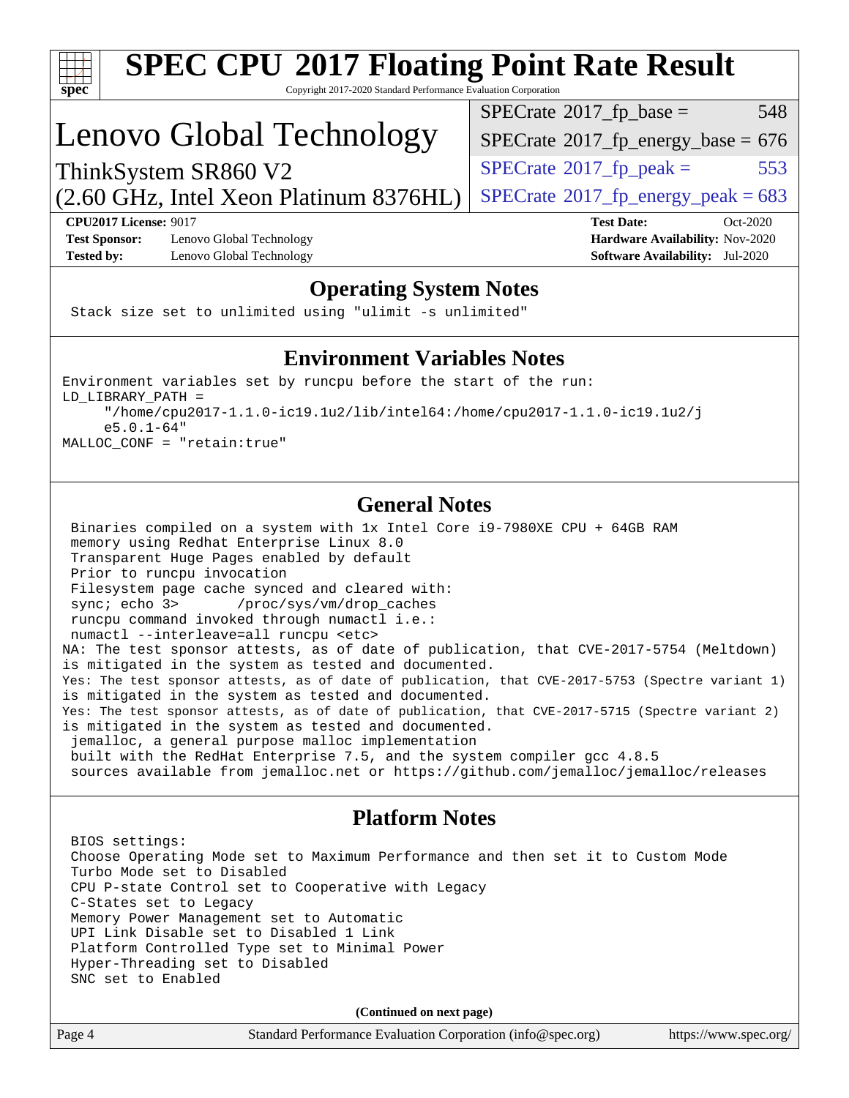

# **[SPEC CPU](http://www.spec.org/auto/cpu2017/Docs/result-fields.html#SPECCPU2017FloatingPointRateResult)[2017 Floating Point Rate Result](http://www.spec.org/auto/cpu2017/Docs/result-fields.html#SPECCPU2017FloatingPointRateResult)**

Copyright 2017-2020 Standard Performance Evaluation Corporation

## Lenovo Global Technology

 $SPECTate^{\circ}2017$ \_fp\_base = 548

 $SPECTate$ <sup>®</sup>[2017\\_fp\\_energy\\_base =](http://www.spec.org/auto/cpu2017/Docs/result-fields.html#SPECrate2017fpenergybase) 676

 $SPECTate^{\circ}2017$ \_fp\_peak = 553

 $(2.60 \text{ GHz}, \text{Intel Xeon}$  Platinum 8376HL) | [SPECrate](http://www.spec.org/auto/cpu2017/Docs/result-fields.html#SPECrate2017fpenergypeak)®[2017\\_fp\\_energy\\_peak = 6](http://www.spec.org/auto/cpu2017/Docs/result-fields.html#SPECrate2017fpenergypeak)83

**[CPU2017 License:](http://www.spec.org/auto/cpu2017/Docs/result-fields.html#CPU2017License)** 9017 **[Test Date:](http://www.spec.org/auto/cpu2017/Docs/result-fields.html#TestDate)** Oct-2020 **[Test Sponsor:](http://www.spec.org/auto/cpu2017/Docs/result-fields.html#TestSponsor)** Lenovo Global Technology **[Hardware Availability:](http://www.spec.org/auto/cpu2017/Docs/result-fields.html#HardwareAvailability)** Nov-2020 **[Tested by:](http://www.spec.org/auto/cpu2017/Docs/result-fields.html#Testedby)** Lenovo Global Technology **[Software Availability:](http://www.spec.org/auto/cpu2017/Docs/result-fields.html#SoftwareAvailability)** Jul-2020

ThinkSystem SR860 V2

### **[Operating System Notes](http://www.spec.org/auto/cpu2017/Docs/result-fields.html#OperatingSystemNotes)**

Stack size set to unlimited using "ulimit -s unlimited"

### **[Environment Variables Notes](http://www.spec.org/auto/cpu2017/Docs/result-fields.html#EnvironmentVariablesNotes)**

Environment variables set by runcpu before the start of the run: LD\_LIBRARY\_PATH = "/home/cpu2017-1.1.0-ic19.1u2/lib/intel64:/home/cpu2017-1.1.0-ic19.1u2/j e5.0.1-64" MALLOC\_CONF = "retain:true"

### **[General Notes](http://www.spec.org/auto/cpu2017/Docs/result-fields.html#GeneralNotes)**

 Binaries compiled on a system with 1x Intel Core i9-7980XE CPU + 64GB RAM memory using Redhat Enterprise Linux 8.0 Transparent Huge Pages enabled by default Prior to runcpu invocation Filesystem page cache synced and cleared with: sync; echo 3> /proc/sys/vm/drop\_caches runcpu command invoked through numactl i.e.: numactl --interleave=all runcpu <etc> NA: The test sponsor attests, as of date of publication, that CVE-2017-5754 (Meltdown) is mitigated in the system as tested and documented. Yes: The test sponsor attests, as of date of publication, that CVE-2017-5753 (Spectre variant 1) is mitigated in the system as tested and documented. Yes: The test sponsor attests, as of date of publication, that CVE-2017-5715 (Spectre variant 2) is mitigated in the system as tested and documented. jemalloc, a general purpose malloc implementation built with the RedHat Enterprise 7.5, and the system compiler gcc 4.8.5 sources available from jemalloc.net or<https://github.com/jemalloc/jemalloc/releases>

### **[Platform Notes](http://www.spec.org/auto/cpu2017/Docs/result-fields.html#PlatformNotes)**

 BIOS settings: Choose Operating Mode set to Maximum Performance and then set it to Custom Mode Turbo Mode set to Disabled CPU P-state Control set to Cooperative with Legacy C-States set to Legacy Memory Power Management set to Automatic UPI Link Disable set to Disabled 1 Link Platform Controlled Type set to Minimal Power Hyper-Threading set to Disabled SNC set to Enabled

**(Continued on next page)**

| Page 4 | Standard Performance Evaluation Corporation (info@spec.org) | https://www.spec.org/ |
|--------|-------------------------------------------------------------|-----------------------|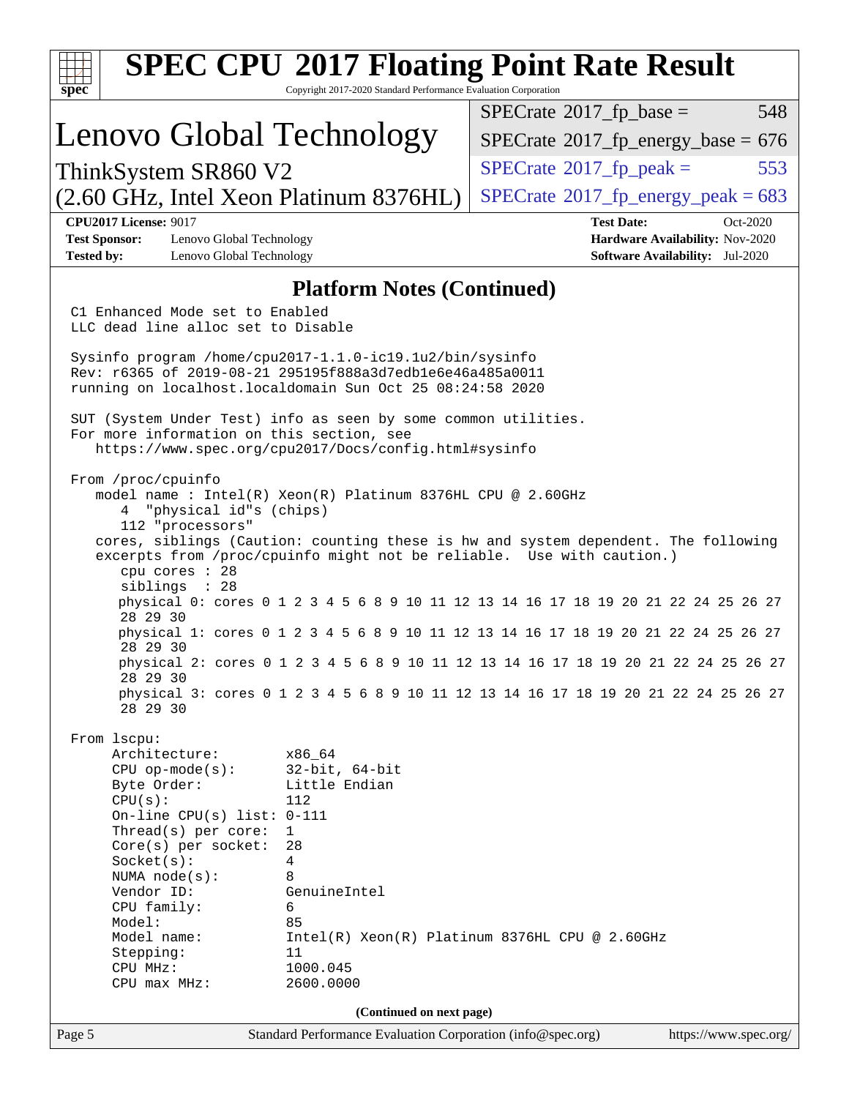| $spec^*$                                                                                                                                                                                                                                                                                      | Copyright 2017-2020 Standard Performance Evaluation Corporation                                                                       | <b>SPEC CPU®2017 Floating Point Rate Result</b>                                                                                                                                                                                                                                                                                                                                                                                                                                                                         |                                                                    |
|-----------------------------------------------------------------------------------------------------------------------------------------------------------------------------------------------------------------------------------------------------------------------------------------------|---------------------------------------------------------------------------------------------------------------------------------------|-------------------------------------------------------------------------------------------------------------------------------------------------------------------------------------------------------------------------------------------------------------------------------------------------------------------------------------------------------------------------------------------------------------------------------------------------------------------------------------------------------------------------|--------------------------------------------------------------------|
|                                                                                                                                                                                                                                                                                               |                                                                                                                                       | $SPECrate^{\circ}2017$ _fp_base =                                                                                                                                                                                                                                                                                                                                                                                                                                                                                       | 548                                                                |
| Lenovo Global Technology                                                                                                                                                                                                                                                                      |                                                                                                                                       | $SPECTate$ <sup>®</sup> 2017_fp_energy_base = 676                                                                                                                                                                                                                                                                                                                                                                                                                                                                       |                                                                    |
| ThinkSystem SR860 V2                                                                                                                                                                                                                                                                          |                                                                                                                                       | $SPECTate$ <sup>®</sup> 2017_fp_peak =                                                                                                                                                                                                                                                                                                                                                                                                                                                                                  | 553                                                                |
| (2.60 GHz, Intel Xeon Platinum 8376HL)                                                                                                                                                                                                                                                        |                                                                                                                                       | $SPECTate^{\circ}2017$ _fp_energy_peak = 683                                                                                                                                                                                                                                                                                                                                                                                                                                                                            |                                                                    |
| <b>CPU2017 License: 9017</b>                                                                                                                                                                                                                                                                  |                                                                                                                                       | <b>Test Date:</b>                                                                                                                                                                                                                                                                                                                                                                                                                                                                                                       | Oct-2020                                                           |
| <b>Test Sponsor:</b><br>Lenovo Global Technology<br><b>Tested by:</b><br>Lenovo Global Technology                                                                                                                                                                                             |                                                                                                                                       |                                                                                                                                                                                                                                                                                                                                                                                                                                                                                                                         | Hardware Availability: Nov-2020<br>Software Availability: Jul-2020 |
|                                                                                                                                                                                                                                                                                               | <b>Platform Notes (Continued)</b>                                                                                                     |                                                                                                                                                                                                                                                                                                                                                                                                                                                                                                                         |                                                                    |
| C1 Enhanced Mode set to Enabled<br>LLC dead line alloc set to Disable                                                                                                                                                                                                                         |                                                                                                                                       |                                                                                                                                                                                                                                                                                                                                                                                                                                                                                                                         |                                                                    |
| Sysinfo program /home/cpu2017-1.1.0-ic19.1u2/bin/sysinfo<br>Rev: r6365 of 2019-08-21 295195f888a3d7edble6e46a485a0011<br>running on localhost.localdomain Sun Oct 25 08:24:58 2020                                                                                                            |                                                                                                                                       |                                                                                                                                                                                                                                                                                                                                                                                                                                                                                                                         |                                                                    |
| SUT (System Under Test) info as seen by some common utilities.<br>For more information on this section, see                                                                                                                                                                                   | https://www.spec.org/cpu2017/Docs/config.html#sysinfo                                                                                 |                                                                                                                                                                                                                                                                                                                                                                                                                                                                                                                         |                                                                    |
| From /proc/cpuinfo<br>"physical id"s (chips)<br>4<br>112 "processors"<br>cpu cores : 28<br>siblings : 28<br>28 29 30<br>28 29 30<br>28 29 30<br>28 29 30                                                                                                                                      | model name: $Intel(R)$ Xeon $(R)$ Platinum 8376HL CPU @ 2.60GHz                                                                       | cores, siblings (Caution: counting these is hw and system dependent. The following<br>excerpts from /proc/cpuinfo might not be reliable. Use with caution.)<br>physical 0: cores 0 1 2 3 4 5 6 8 9 10 11 12 13 14 16 17 18 19 20 21 22 24 25 26 27<br>physical 1: cores 0 1 2 3 4 5 6 8 9 10 11 12 13 14 16 17 18 19 20 21 22 24 25 26 27<br>physical 2: cores 0 1 2 3 4 5 6 8 9 10 11 12 13 14 16 17 18 19 20 21 22 24 25 26 27<br>physical 3: cores 0 1 2 3 4 5 6 8 9 10 11 12 13 14 16 17 18 19 20 21 22 24 25 26 27 |                                                                    |
| From 1scpu:<br>Architecture:<br>$CPU$ op-mode(s):<br>Byte Order:<br>CPU(s):<br>On-line CPU(s) list: $0-111$<br>Thread( $s$ ) per core:<br>$Core(s)$ per socket:<br>Socket(s):<br>NUMA node(s):<br>Vendor ID:<br>CPU family:<br>Model:<br>Model name:<br>Stepping:<br>CPU MHz:<br>CPU max MHz: | x86_64<br>$32$ -bit, $64$ -bit<br>Little Endian<br>112<br>1<br>28<br>4<br>8<br>GenuineIntel<br>6<br>85<br>11<br>1000.045<br>2600.0000 | Intel(R) Xeon(R) Platinum 8376HL CPU @ 2.60GHz                                                                                                                                                                                                                                                                                                                                                                                                                                                                          |                                                                    |
|                                                                                                                                                                                                                                                                                               | (Continued on next page)                                                                                                              |                                                                                                                                                                                                                                                                                                                                                                                                                                                                                                                         |                                                                    |
| Page 5                                                                                                                                                                                                                                                                                        | Standard Performance Evaluation Corporation (info@spec.org)                                                                           |                                                                                                                                                                                                                                                                                                                                                                                                                                                                                                                         | https://www.spec.org/                                              |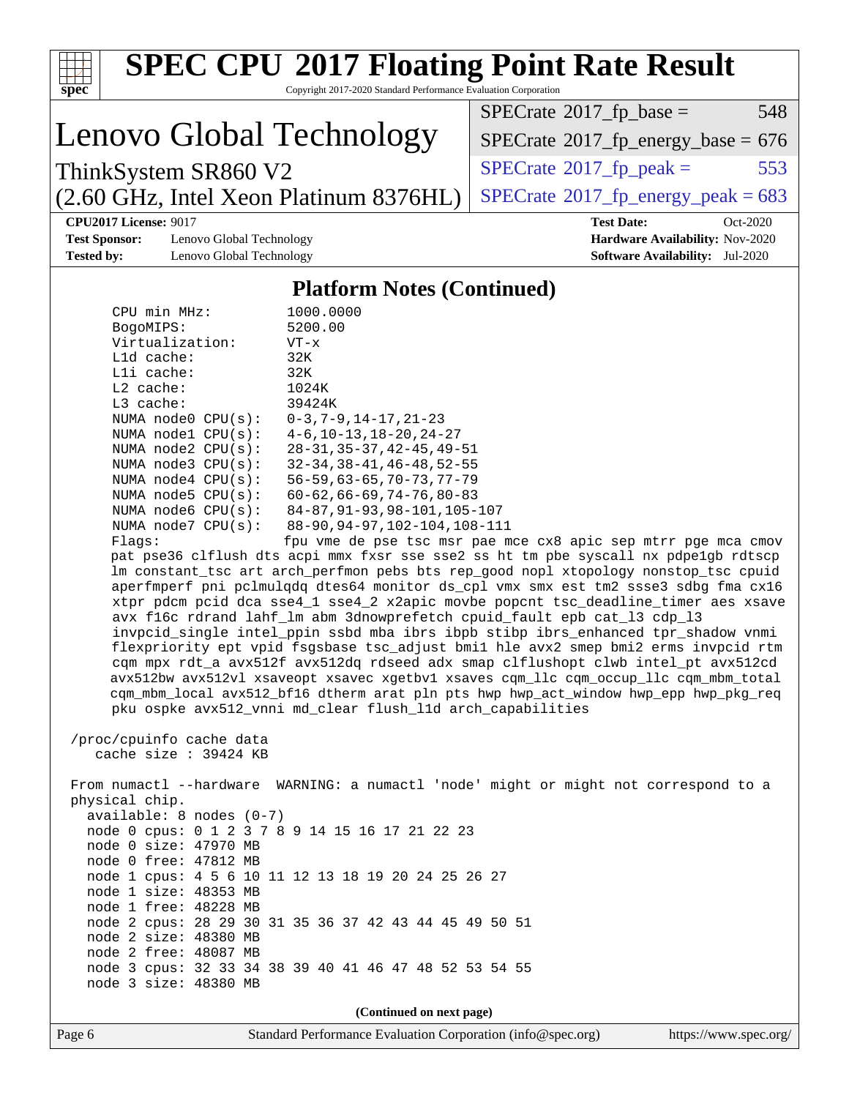| <b>SPEC CPU®2017 Floating Point Rate Result</b>                                                                                  |                                                                                                                                                                            |
|----------------------------------------------------------------------------------------------------------------------------------|----------------------------------------------------------------------------------------------------------------------------------------------------------------------------|
| Copyright 2017-2020 Standard Performance Evaluation Corporation<br>spec <sup>®</sup>                                             |                                                                                                                                                                            |
|                                                                                                                                  | $SPECrate^{\circ}2017$ _fp_base =<br>548                                                                                                                                   |
| Lenovo Global Technology                                                                                                         | $SPECTate$ <sup>®</sup> 2017_fp_energy_base = 676                                                                                                                          |
| ThinkSystem SR860 V2                                                                                                             | 553<br>$SPECrate^{\circ}2017$ _fp_peak =                                                                                                                                   |
| (2.60 GHz, Intel Xeon Platinum 8376HL)                                                                                           | $SPECTate@2017_fp\_energy\_peak = 683$                                                                                                                                     |
| <b>CPU2017 License: 9017</b>                                                                                                     | <b>Test Date:</b><br>Oct-2020                                                                                                                                              |
| <b>Test Sponsor:</b><br>Lenovo Global Technology                                                                                 | Hardware Availability: Nov-2020                                                                                                                                            |
| <b>Tested by:</b><br>Lenovo Global Technology                                                                                    | <b>Software Availability:</b> Jul-2020                                                                                                                                     |
| <b>Platform Notes (Continued)</b>                                                                                                |                                                                                                                                                                            |
| 1000.0000<br>CPU min MHz:                                                                                                        |                                                                                                                                                                            |
| 5200.00<br>BogoMIPS:<br>Virtualization:<br>$VT - x$                                                                              |                                                                                                                                                                            |
| L1d cache:<br>32K                                                                                                                |                                                                                                                                                                            |
| Lli cache:<br>32K                                                                                                                |                                                                                                                                                                            |
| L2 cache:<br>1024K                                                                                                               |                                                                                                                                                                            |
| L3 cache:<br>39424K                                                                                                              |                                                                                                                                                                            |
| NUMA node0 CPU(s):<br>$0-3, 7-9, 14-17, 21-23$<br>$4-6$ , $10-13$ , $18-20$ , $24-27$<br>NUMA nodel CPU(s):                      |                                                                                                                                                                            |
| NUMA node2 CPU(s):<br>$28 - 31, 35 - 37, 42 - 45, 49 - 51$                                                                       |                                                                                                                                                                            |
| $32 - 34, 38 - 41, 46 - 48, 52 - 55$<br>NUMA $node3$ $CPU(s)$ :                                                                  |                                                                                                                                                                            |
| NUMA $node4$ $CPU(s):$<br>$56 - 59, 63 - 65, 70 - 73, 77 - 79$<br>NUMA $node5$ $CPU(s):$<br>$60 - 62, 66 - 69, 74 - 76, 80 - 83$ |                                                                                                                                                                            |
| 84-87, 91-93, 98-101, 105-107<br>NUMA node6 CPU(s):                                                                              |                                                                                                                                                                            |
| 88-90, 94-97, 102-104, 108-111<br>NUMA node7 CPU(s):                                                                             |                                                                                                                                                                            |
| Flags:                                                                                                                           | fpu vme de pse tsc msr pae mce cx8 apic sep mtrr pge mca cmov                                                                                                              |
|                                                                                                                                  | pat pse36 clflush dts acpi mmx fxsr sse sse2 ss ht tm pbe syscall nx pdpelgb rdtscp<br>lm constant_tsc art arch_perfmon pebs bts rep_good nopl xtopology nonstop_tsc cpuid |
|                                                                                                                                  | aperfmperf pni pclmulqdq dtes64 monitor ds_cpl vmx smx est tm2 ssse3 sdbg fma cx16                                                                                         |
|                                                                                                                                  | xtpr pdcm pcid dca sse4_1 sse4_2 x2apic movbe popcnt tsc_deadline_timer aes xsave                                                                                          |
| avx f16c rdrand lahf_lm abm 3dnowprefetch cpuid_fault epb cat_13 cdp_13                                                          |                                                                                                                                                                            |
|                                                                                                                                  | invpcid_single intel_ppin ssbd mba ibrs ibpb stibp ibrs_enhanced tpr_shadow vnmi<br>flexpriority ept vpid fsgsbase tsc_adjust bmil hle avx2 smep bmi2 erms invpcid rtm     |
|                                                                                                                                  | cqm mpx rdt_a avx512f avx512dq rdseed adx smap clflushopt clwb intel_pt avx512cd                                                                                           |
|                                                                                                                                  | avx512bw avx512vl xsaveopt xsavec xgetbvl xsaves cqm_llc cqm_occup_llc cqm_mbm_total                                                                                       |
|                                                                                                                                  | cqm_mbm_local avx512_bf16 dtherm arat pln pts hwp hwp_act_window hwp_epp hwp_pkg_req                                                                                       |
| pku ospke avx512_vnni md_clear flush_lld arch_capabilities                                                                       |                                                                                                                                                                            |
| /proc/cpuinfo cache data                                                                                                         |                                                                                                                                                                            |
| cache size : 39424 KB                                                                                                            |                                                                                                                                                                            |
| From numactl --hardware WARNING: a numactl 'node' might or might not correspond to a                                             |                                                                                                                                                                            |
| physical chip.                                                                                                                   |                                                                                                                                                                            |
| $available: 8 nodes (0-7)$                                                                                                       |                                                                                                                                                                            |
| node 0 cpus: 0 1 2 3 7 8 9 14 15 16 17 21 22 23<br>node 0 size: 47970 MB                                                         |                                                                                                                                                                            |
| node 0 free: 47812 MB                                                                                                            |                                                                                                                                                                            |
| node 1 cpus: 4 5 6 10 11 12 13 18 19 20 24 25 26 27                                                                              |                                                                                                                                                                            |
| node 1 size: 48353 MB                                                                                                            |                                                                                                                                                                            |
| node 1 free: 48228 MB<br>node 2 cpus: 28 29 30 31 35 36 37 42 43 44 45 49 50 51                                                  |                                                                                                                                                                            |
| node 2 size: 48380 MB                                                                                                            |                                                                                                                                                                            |
| node 2 free: 48087 MB                                                                                                            |                                                                                                                                                                            |
| node 3 cpus: 32 33 34 38 39 40 41 46 47 48 52 53 54 55                                                                           |                                                                                                                                                                            |
| node 3 size: 48380 MB                                                                                                            |                                                                                                                                                                            |
| (Continued on next page)                                                                                                         |                                                                                                                                                                            |
| Page 6<br>Standard Performance Evaluation Corporation (info@spec.org)                                                            | https://www.spec.org/                                                                                                                                                      |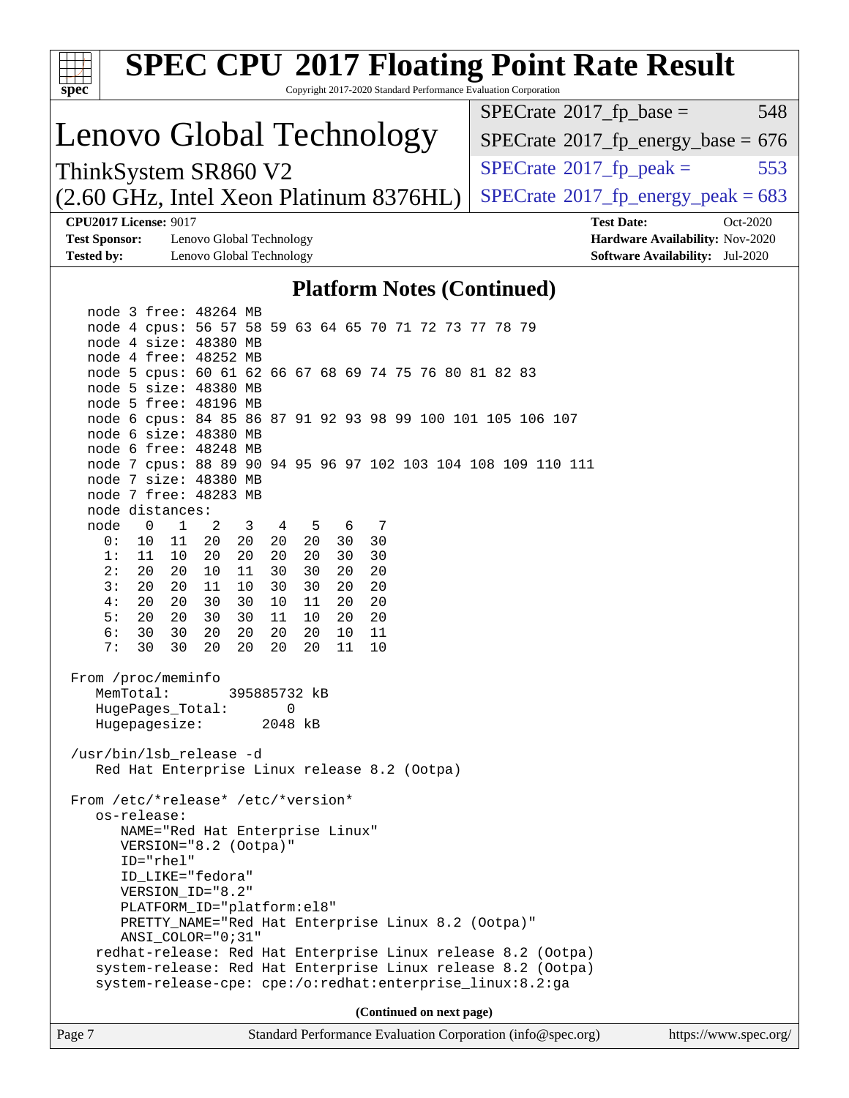| <b>SPEC CPU®2017 Floating Point Rate Result</b><br>Copyright 2017-2020 Standard Performance Evaluation Corporation<br>spec <sup>®</sup>                                                                                                                                                                                                                                                                                                                                       |                                                      |
|-------------------------------------------------------------------------------------------------------------------------------------------------------------------------------------------------------------------------------------------------------------------------------------------------------------------------------------------------------------------------------------------------------------------------------------------------------------------------------|------------------------------------------------------|
|                                                                                                                                                                                                                                                                                                                                                                                                                                                                               | $SPECrate^{\circ}2017$ _fp_base =<br>548             |
| Lenovo Global Technology                                                                                                                                                                                                                                                                                                                                                                                                                                                      | $SPECrate$ <sup>®</sup> $2017$ _fp_energy_base = 676 |
| ThinkSystem SR860 V2                                                                                                                                                                                                                                                                                                                                                                                                                                                          | $SPECrate^{\circ}2017$ _fp_peak =<br>553             |
| (2.60 GHz, Intel Xeon Platinum 8376HL)                                                                                                                                                                                                                                                                                                                                                                                                                                        | $SPECTate@2017frenergypeak = 683$                    |
| <b>CPU2017 License: 9017</b>                                                                                                                                                                                                                                                                                                                                                                                                                                                  | <b>Test Date:</b><br>Oct-2020                        |
| <b>Test Sponsor:</b><br>Lenovo Global Technology                                                                                                                                                                                                                                                                                                                                                                                                                              | Hardware Availability: Nov-2020                      |
| <b>Tested by:</b><br>Lenovo Global Technology                                                                                                                                                                                                                                                                                                                                                                                                                                 | <b>Software Availability:</b> Jul-2020               |
| <b>Platform Notes (Continued)</b>                                                                                                                                                                                                                                                                                                                                                                                                                                             |                                                      |
| node 3 free: 48264 MB<br>node 4 cpus: 56 57 58 59 63 64 65 70 71 72 73 77 78 79                                                                                                                                                                                                                                                                                                                                                                                               |                                                      |
| node 4 size: 48380 MB                                                                                                                                                                                                                                                                                                                                                                                                                                                         |                                                      |
| node 4 free: 48252 MB                                                                                                                                                                                                                                                                                                                                                                                                                                                         |                                                      |
| node 5 cpus: 60 61 62 66 67 68 69 74 75 76 80 81 82 83                                                                                                                                                                                                                                                                                                                                                                                                                        |                                                      |
| node 5 size: 48380 MB<br>node 5 free: 48196 MB                                                                                                                                                                                                                                                                                                                                                                                                                                |                                                      |
| node 6 cpus: 84 85 86 87 91 92 93 98 99 100 101 105 106 107                                                                                                                                                                                                                                                                                                                                                                                                                   |                                                      |
| node 6 size: 48380 MB                                                                                                                                                                                                                                                                                                                                                                                                                                                         |                                                      |
| node 6 free: 48248 MB<br>node 7 cpus: 88 89 90 94 95 96 97 102 103 104 108 109 110 111                                                                                                                                                                                                                                                                                                                                                                                        |                                                      |
| node 7 size: 48380 MB                                                                                                                                                                                                                                                                                                                                                                                                                                                         |                                                      |
| node 7 free: 48283 MB                                                                                                                                                                                                                                                                                                                                                                                                                                                         |                                                      |
| node distances:                                                                                                                                                                                                                                                                                                                                                                                                                                                               |                                                      |
| $\mathbf 0$<br>$\mathbf{1}$<br>node<br>2<br>3<br>4<br>-5<br>7<br>6<br>20<br>11<br>20<br>20<br>20<br>30<br>30<br>0 :<br>10                                                                                                                                                                                                                                                                                                                                                     |                                                      |
| 20<br>20<br>20<br>30<br>30<br>1:<br>11<br>10<br>20                                                                                                                                                                                                                                                                                                                                                                                                                            |                                                      |
| 20<br>20<br>11<br>30<br>20<br>20<br>2:<br>30<br>10                                                                                                                                                                                                                                                                                                                                                                                                                            |                                                      |
| 3:<br>30<br>20<br>20<br>20<br>11<br>10<br>30<br>20                                                                                                                                                                                                                                                                                                                                                                                                                            |                                                      |
| 20<br>20<br>30<br>30<br>20<br>4:<br>10<br>11<br>20<br>5:<br>20<br>30<br>11<br>20<br>20<br>30<br>10<br>20                                                                                                                                                                                                                                                                                                                                                                      |                                                      |
| 6:<br>20<br>30<br>30<br>20<br>20<br>20<br>10<br>11                                                                                                                                                                                                                                                                                                                                                                                                                            |                                                      |
| 20<br>20<br>7:<br>30<br>30<br>20<br>20<br>11<br>10                                                                                                                                                                                                                                                                                                                                                                                                                            |                                                      |
| From /proc/meminfo<br>MemTotal:<br>395885732 kB<br>HugePages_Total:<br>0<br>Hugepagesize:<br>2048 kB                                                                                                                                                                                                                                                                                                                                                                          |                                                      |
| /usr/bin/lsb_release -d<br>Red Hat Enterprise Linux release 8.2 (Ootpa)                                                                                                                                                                                                                                                                                                                                                                                                       |                                                      |
| From /etc/*release* /etc/*version*<br>os-release:<br>NAME="Red Hat Enterprise Linux"<br>VERSION="8.2 (Ootpa)"<br>ID="rhel"<br>ID_LIKE="fedora"<br>VERSION_ID="8.2"<br>PLATFORM_ID="platform:el8"<br>PRETTY_NAME="Red Hat Enterprise Linux 8.2 (Ootpa)"<br>$ANSI\_COLOR = "0:31"$<br>redhat-release: Red Hat Enterprise Linux release 8.2 (Ootpa)<br>system-release: Red Hat Enterprise Linux release 8.2 (Ootpa)<br>system-release-cpe: cpe:/o:redhat:enterprise_linux:8.2:ga |                                                      |
| (Continued on next page)                                                                                                                                                                                                                                                                                                                                                                                                                                                      |                                                      |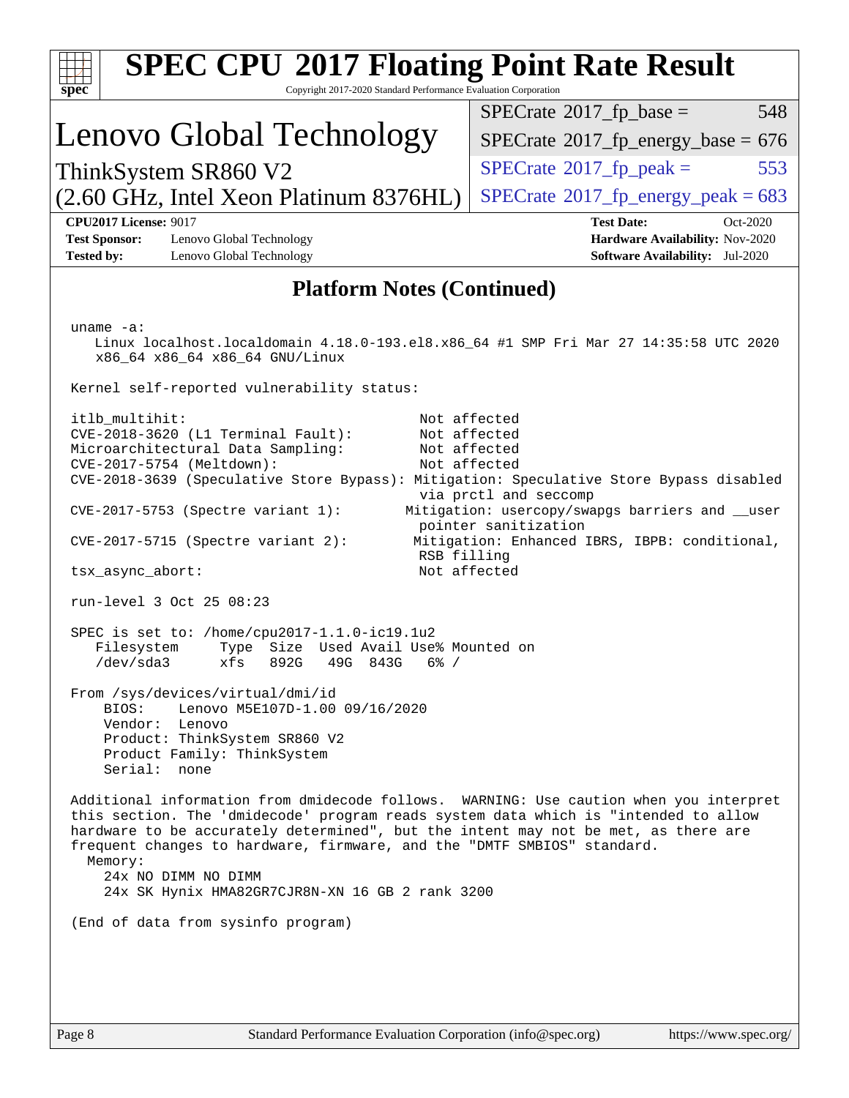| <b>SPEC CPU®2017 Floating Point Rate Result</b><br>Copyright 2017-2020 Standard Performance Evaluation Corporation<br>spec <sup>®</sup>                                                                                                                                                                                                                                                                                             |                                                                                                            |
|-------------------------------------------------------------------------------------------------------------------------------------------------------------------------------------------------------------------------------------------------------------------------------------------------------------------------------------------------------------------------------------------------------------------------------------|------------------------------------------------------------------------------------------------------------|
|                                                                                                                                                                                                                                                                                                                                                                                                                                     | $SPECrate^{\circ}2017$ _fp_base =<br>548                                                                   |
| Lenovo Global Technology                                                                                                                                                                                                                                                                                                                                                                                                            | $SPECTate$ <sup>®</sup> 2017_fp_energy_base = 676                                                          |
| ThinkSystem SR860 V2                                                                                                                                                                                                                                                                                                                                                                                                                | $SPECrate^{\circ}2017$ [p_peak =<br>553                                                                    |
| (2.60 GHz, Intel Xeon Platinum 8376HL)                                                                                                                                                                                                                                                                                                                                                                                              | $SPECTate$ <sup>®</sup> 2017_fp_energy_peak = 683                                                          |
| <b>CPU2017 License: 9017</b><br>Lenovo Global Technology<br><b>Test Sponsor:</b><br><b>Tested by:</b><br>Lenovo Global Technology                                                                                                                                                                                                                                                                                                   | <b>Test Date:</b><br>Oct-2020<br>Hardware Availability: Nov-2020<br><b>Software Availability:</b> Jul-2020 |
| <b>Platform Notes (Continued)</b>                                                                                                                                                                                                                                                                                                                                                                                                   |                                                                                                            |
|                                                                                                                                                                                                                                                                                                                                                                                                                                     |                                                                                                            |
| uname $-a$ :<br>Linux localhost.localdomain 4.18.0-193.el8.x86_64 #1 SMP Fri Mar 27 14:35:58 UTC 2020<br>x86_64 x86_64 x86_64 GNU/Linux                                                                                                                                                                                                                                                                                             |                                                                                                            |
| Kernel self-reported vulnerability status:                                                                                                                                                                                                                                                                                                                                                                                          |                                                                                                            |
| itlb_multihit:<br>CVE-2018-3620 (L1 Terminal Fault):<br>Not affected<br>Microarchitectural Data Sampling:<br>Not affected<br>CVE-2017-5754 (Meltdown):<br>Not affected<br>CVE-2018-3639 (Speculative Store Bypass): Mitigation: Speculative Store Bypass disabled                                                                                                                                                                   | Not affected<br>via prctl and seccomp                                                                      |
| $CVE-2017-5753$ (Spectre variant 1):                                                                                                                                                                                                                                                                                                                                                                                                | Mitigation: usercopy/swapgs barriers and __user<br>pointer sanitization                                    |
| $CVE-2017-5715$ (Spectre variant 2):<br>RSB filling                                                                                                                                                                                                                                                                                                                                                                                 | Mitigation: Enhanced IBRS, IBPB: conditional,                                                              |
| Not affected<br>tsx_async_abort:                                                                                                                                                                                                                                                                                                                                                                                                    |                                                                                                            |
| run-level 3 Oct 25 08:23                                                                                                                                                                                                                                                                                                                                                                                                            |                                                                                                            |
| SPEC is set to: /home/cpu2017-1.1.0-ic19.1u2<br>Used Avail Use% Mounted on<br>Filesystem<br>Type<br>Size<br>/dev/sda3<br>xfs<br>892G<br>49G 843G<br>$6\%$ /                                                                                                                                                                                                                                                                         |                                                                                                            |
| From /sys/devices/virtual/dmi/id<br>Lenovo M5E107D-1.00 09/16/2020<br>BTOS:<br>Vendor: Lenovo<br>Product: ThinkSystem SR860 V2<br>Product Family: ThinkSystem<br>Serial: none                                                                                                                                                                                                                                                       |                                                                                                            |
| Additional information from dmidecode follows. WARNING: Use caution when you interpret<br>this section. The 'dmidecode' program reads system data which is "intended to allow<br>hardware to be accurately determined", but the intent may not be met, as there are<br>frequent changes to hardware, firmware, and the "DMTF SMBIOS" standard.<br>Memory:<br>24x NO DIMM NO DIMM<br>24x SK Hynix HMA82GR7CJR8N-XN 16 GB 2 rank 3200 |                                                                                                            |
| (End of data from sysinfo program)                                                                                                                                                                                                                                                                                                                                                                                                  |                                                                                                            |
|                                                                                                                                                                                                                                                                                                                                                                                                                                     |                                                                                                            |
|                                                                                                                                                                                                                                                                                                                                                                                                                                     |                                                                                                            |
|                                                                                                                                                                                                                                                                                                                                                                                                                                     |                                                                                                            |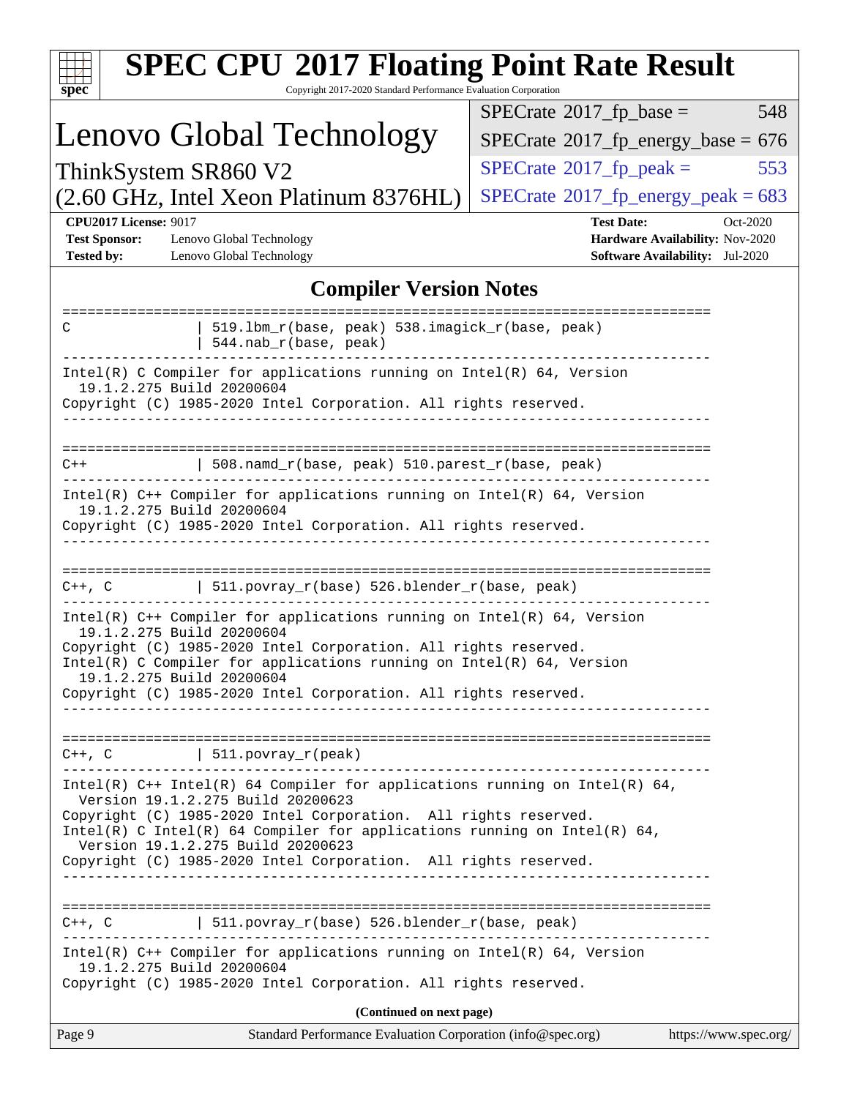| <b>SPEC CPU®2017 Floating Point Rate Result</b><br>Copyright 2017-2020 Standard Performance Evaluation Corporation<br>$spec^*$                                                                                                                                                                                                                                           |                                                                                                            |
|--------------------------------------------------------------------------------------------------------------------------------------------------------------------------------------------------------------------------------------------------------------------------------------------------------------------------------------------------------------------------|------------------------------------------------------------------------------------------------------------|
|                                                                                                                                                                                                                                                                                                                                                                          | $SPECrate^{\circ}2017$ _fp_base =<br>548                                                                   |
| Lenovo Global Technology                                                                                                                                                                                                                                                                                                                                                 | $SPECTate$ <sup>®</sup> 2017_fp_energy_base = 676                                                          |
| ThinkSystem SR860 V2                                                                                                                                                                                                                                                                                                                                                     | $SPECrate^{\circ}2017$ [p_peak =<br>553                                                                    |
| (2.60 GHz, Intel Xeon Platinum 8376HL)                                                                                                                                                                                                                                                                                                                                   | $SPECTate$ <sup>®</sup> 2017_fp_energy_peak = 683                                                          |
| <b>CPU2017 License: 9017</b><br><b>Test Sponsor:</b><br>Lenovo Global Technology<br><b>Tested by:</b><br>Lenovo Global Technology                                                                                                                                                                                                                                        | <b>Test Date:</b><br>Oct-2020<br>Hardware Availability: Nov-2020<br><b>Software Availability:</b> Jul-2020 |
| <b>Compiler Version Notes</b>                                                                                                                                                                                                                                                                                                                                            |                                                                                                            |
| 519.1bm_r(base, peak) 538.imagick_r(base, peak)<br>C<br>544.nab_r(base, peak)                                                                                                                                                                                                                                                                                            |                                                                                                            |
| $Intel(R)$ C Compiler for applications running on $Intel(R)$ 64, Version<br>19.1.2.275 Build 20200604<br>Copyright (C) 1985-2020 Intel Corporation. All rights reserved.                                                                                                                                                                                                 |                                                                                                            |
|                                                                                                                                                                                                                                                                                                                                                                          |                                                                                                            |
| 508.namd_r(base, peak) 510.parest_r(base, peak)<br>$C++$                                                                                                                                                                                                                                                                                                                 |                                                                                                            |
| $Intel(R)$ C++ Compiler for applications running on Intel(R) 64, Version<br>19.1.2.275 Build 20200604<br>Copyright (C) 1985-2020 Intel Corporation. All rights reserved.                                                                                                                                                                                                 |                                                                                                            |
| 511.povray_r(base) 526.blender_r(base, peak)<br>$C++$ , $C$                                                                                                                                                                                                                                                                                                              |                                                                                                            |
| Intel(R) $C++$ Compiler for applications running on Intel(R) 64, Version<br>19.1.2.275 Build 20200604<br>Copyright (C) 1985-2020 Intel Corporation. All rights reserved.<br>Intel(R) C Compiler for applications running on $Intel(R) 64$ , Version<br>19.1.2.275 Build 20200604<br>Copyright (C) 1985-2020 Intel Corporation. All rights reserved.                      |                                                                                                            |
| $C++$ , $C$   511.povray_r(peak)                                                                                                                                                                                                                                                                                                                                         |                                                                                                            |
| Intel(R) $C++$ Intel(R) 64 Compiler for applications running on Intel(R) 64,<br>Version 19.1.2.275 Build 20200623<br>Copyright (C) 1985-2020 Intel Corporation. All rights reserved.<br>Intel(R) C Intel(R) 64 Compiler for applications running on Intel(R) 64,<br>Version 19.1.2.275 Build 20200623<br>Copyright (C) 1985-2020 Intel Corporation. All rights reserved. |                                                                                                            |
|                                                                                                                                                                                                                                                                                                                                                                          |                                                                                                            |
| $C++$ , $C$<br>  $511. povray_r(base) 526. blender_r(base, peak)$                                                                                                                                                                                                                                                                                                        |                                                                                                            |
| Intel(R) C++ Compiler for applications running on Intel(R) 64, Version<br>19.1.2.275 Build 20200604<br>Copyright (C) 1985-2020 Intel Corporation. All rights reserved.                                                                                                                                                                                                   |                                                                                                            |
| (Continued on next page)                                                                                                                                                                                                                                                                                                                                                 |                                                                                                            |
| Page 9<br>Standard Performance Evaluation Corporation (info@spec.org)                                                                                                                                                                                                                                                                                                    | https://www.spec.org/                                                                                      |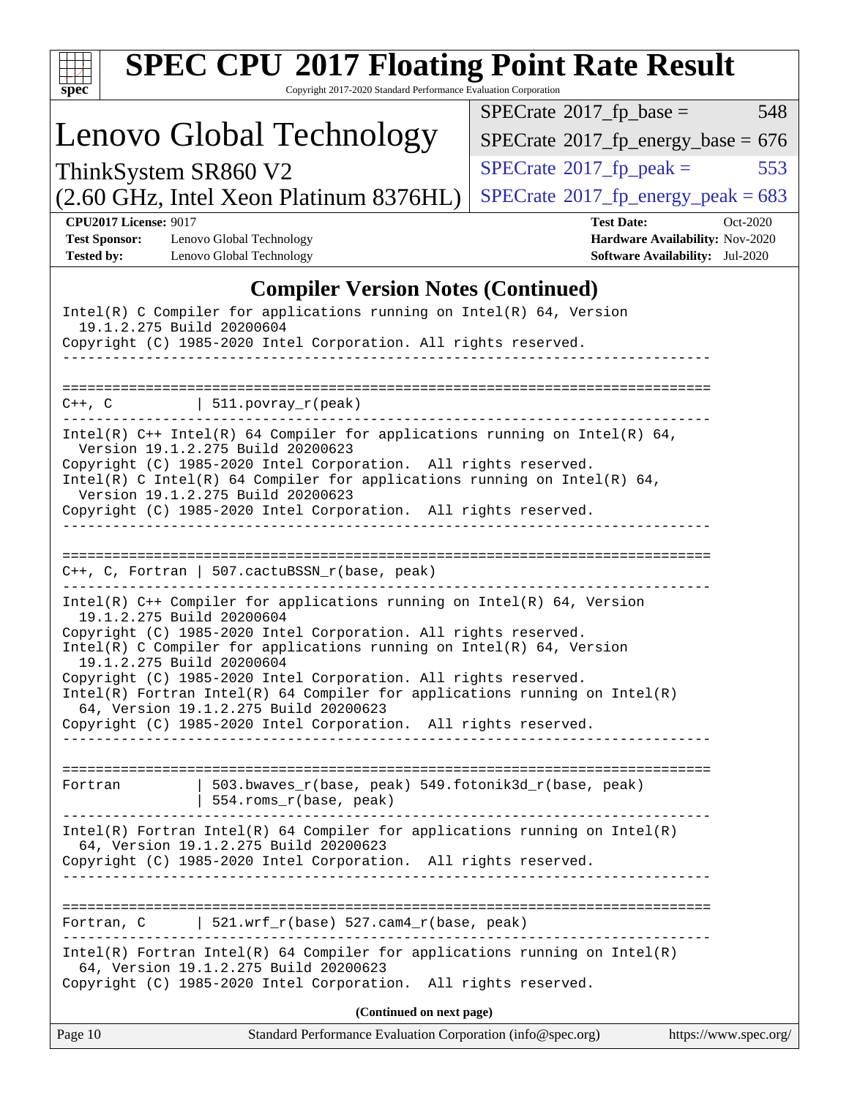| <b>SPEC CPU®2017 Floating Point Rate Result</b><br>Copyright 2017-2020 Standard Performance Evaluation Corporation<br>spec <sup>®</sup>                                                                                                                                                                                                                                                    |                                                                                                            |
|--------------------------------------------------------------------------------------------------------------------------------------------------------------------------------------------------------------------------------------------------------------------------------------------------------------------------------------------------------------------------------------------|------------------------------------------------------------------------------------------------------------|
|                                                                                                                                                                                                                                                                                                                                                                                            | $SPECrate^{\circ}2017$ _fp_base =<br>548                                                                   |
| Lenovo Global Technology                                                                                                                                                                                                                                                                                                                                                                   | $SPECTate$ <sup>®</sup> 2017_fp_energy_base = 676                                                          |
| ThinkSystem SR860 V2                                                                                                                                                                                                                                                                                                                                                                       | $SPECTate$ <sup>®</sup> 2017_fp_peak =<br>553                                                              |
| (2.60 GHz, Intel Xeon Platinum 8376HL)                                                                                                                                                                                                                                                                                                                                                     | $SPECTate$ <sup>®</sup> 2017_fp_energy_peak = 683                                                          |
| <b>CPU2017 License: 9017</b><br><b>Test Sponsor:</b><br>Lenovo Global Technology<br><b>Tested by:</b><br>Lenovo Global Technology                                                                                                                                                                                                                                                          | <b>Test Date:</b><br>Oct-2020<br>Hardware Availability: Nov-2020<br><b>Software Availability:</b> Jul-2020 |
| <b>Compiler Version Notes (Continued)</b>                                                                                                                                                                                                                                                                                                                                                  |                                                                                                            |
| Intel(R) C Compiler for applications running on $Intel(R) 64$ , Version<br>19.1.2.275 Build 20200604<br>Copyright (C) 1985-2020 Intel Corporation. All rights reserved.                                                                                                                                                                                                                    |                                                                                                            |
| $  511.povray_r(peak)$<br>C++, C                                                                                                                                                                                                                                                                                                                                                           |                                                                                                            |
| Intel(R) $C++$ Intel(R) 64 Compiler for applications running on Intel(R) 64,<br>Version 19.1.2.275 Build 20200623<br>Copyright (C) 1985-2020 Intel Corporation. All rights reserved.<br>Intel(R) C Intel(R) 64 Compiler for applications running on Intel(R) 64,<br>Version 19.1.2.275 Build 20200623<br>Copyright (C) 1985-2020 Intel Corporation. All rights reserved.<br>-------------- |                                                                                                            |
| $C++$ , C, Fortran   507.cactuBSSN_r(base, peak)<br>Intel(R) $C++$ Compiler for applications running on Intel(R) 64, Version<br>19.1.2.275 Build 20200604<br>Copyright (C) 1985-2020 Intel Corporation. All rights reserved.                                                                                                                                                               |                                                                                                            |
| Intel(R) C Compiler for applications running on Intel(R) 64, Version<br>19.1.2.275 Build 20200604<br>Copyright (C) 1985-2020 Intel Corporation. All rights reserved.<br>$Intel(R)$ Fortran Intel(R) 64 Compiler for applications running on Intel(R)<br>64, Version 19.1.2.275 Build 20200623<br>Copyright (C) 1985-2020 Intel Corporation. All rights reserved.                           |                                                                                                            |
| 503.bwaves_r(base, peak) 549.fotonik3d_r(base, peak)<br>Fortran<br>  554.roms_r(base, peak)                                                                                                                                                                                                                                                                                                | __________________________________                                                                         |
| $Intel(R)$ Fortran Intel(R) 64 Compiler for applications running on Intel(R)<br>64, Version 19.1.2.275 Build 20200623<br>Copyright (C) 1985-2020 Intel Corporation. All rights reserved.                                                                                                                                                                                                   |                                                                                                            |
| Fortran, C 521.wrf_r(base) 527.cam4_r(base, peak)                                                                                                                                                                                                                                                                                                                                          |                                                                                                            |
| Intel(R) Fortran Intel(R) 64 Compiler for applications running on Intel(R)<br>64, Version 19.1.2.275 Build 20200623<br>Copyright (C) 1985-2020 Intel Corporation. All rights reserved.                                                                                                                                                                                                     |                                                                                                            |
| (Continued on next page)                                                                                                                                                                                                                                                                                                                                                                   |                                                                                                            |
| Page 10<br>Standard Performance Evaluation Corporation (info@spec.org)                                                                                                                                                                                                                                                                                                                     | https://www.spec.org/                                                                                      |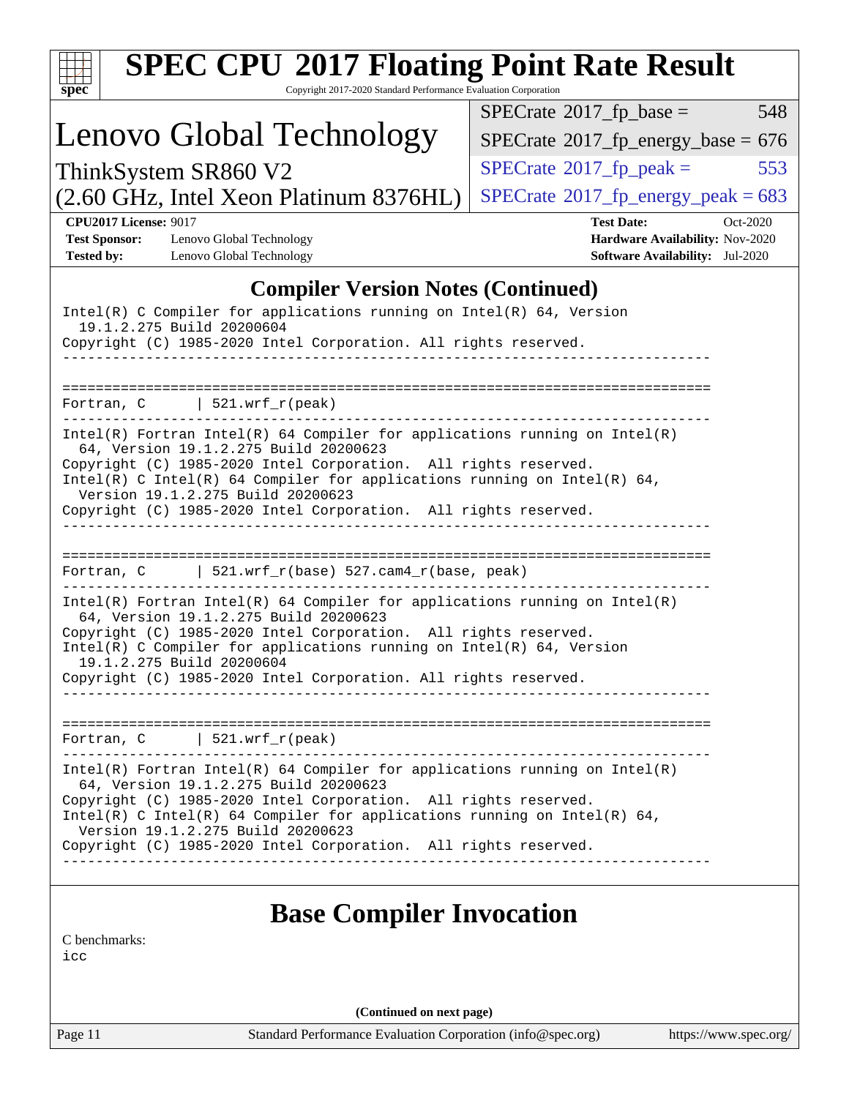| <b>SPEC CPU®2017 Floating Point Rate Result</b><br>Copyright 2017-2020 Standard Performance Evaluation Corporation<br>spec <sup>®</sup>                                                                                                                                                                                                                                                                      |                                                                                                            |
|--------------------------------------------------------------------------------------------------------------------------------------------------------------------------------------------------------------------------------------------------------------------------------------------------------------------------------------------------------------------------------------------------------------|------------------------------------------------------------------------------------------------------------|
|                                                                                                                                                                                                                                                                                                                                                                                                              | 548<br>$SPECrate^{\circ}2017$ _fp_base =                                                                   |
| Lenovo Global Technology                                                                                                                                                                                                                                                                                                                                                                                     | $SPECTate$ <sup>®</sup> 2017_fp_energy_base = 676                                                          |
| ThinkSystem SR860 V2                                                                                                                                                                                                                                                                                                                                                                                         | $SPECTate$ <sup>®</sup> 2017_fp_peak =<br>553                                                              |
| (2.60 GHz, Intel Xeon Platinum 8376HL)                                                                                                                                                                                                                                                                                                                                                                       | $SPECTate^{\circ}2017$ _fp_energy_peak = 683                                                               |
| <b>CPU2017 License: 9017</b><br><b>Test Sponsor:</b><br>Lenovo Global Technology<br><b>Tested by:</b><br>Lenovo Global Technology                                                                                                                                                                                                                                                                            | <b>Test Date:</b><br>Oct-2020<br>Hardware Availability: Nov-2020<br><b>Software Availability:</b> Jul-2020 |
| <b>Compiler Version Notes (Continued)</b>                                                                                                                                                                                                                                                                                                                                                                    |                                                                                                            |
| $Intel(R)$ C Compiler for applications running on $Intel(R)$ 64, Version<br>19.1.2.275 Build 20200604<br>Copyright (C) 1985-2020 Intel Corporation. All rights reserved.                                                                                                                                                                                                                                     |                                                                                                            |
| $\vert$ 521.wrf r(peak)<br>Fortran, C                                                                                                                                                                                                                                                                                                                                                                        |                                                                                                            |
| $Intel(R)$ Fortran Intel(R) 64 Compiler for applications running on Intel(R)<br>64, Version 19.1.2.275 Build 20200623<br>Copyright (C) 1985-2020 Intel Corporation. All rights reserved.<br>Intel(R) C Intel(R) 64 Compiler for applications running on Intel(R) 64,<br>Version 19.1.2.275 Build 20200623<br>Copyright (C) 1985-2020 Intel Corporation. All rights reserved.                                 |                                                                                                            |
| Fortran, C   521.wrf_r(base) $527.cam4_r(base, peak)$                                                                                                                                                                                                                                                                                                                                                        |                                                                                                            |
| $Intel(R)$ Fortran Intel(R) 64 Compiler for applications running on Intel(R)<br>64, Version 19.1.2.275 Build 20200623<br>Copyright (C) 1985-2020 Intel Corporation. All rights reserved.<br>Intel(R) C Compiler for applications running on Intel(R) 64, Version<br>19.1.2.275 Build 20200604<br>Copyright (C) 1985-2020 Intel Corporation. All rights reserved.                                             |                                                                                                            |
| $521.wrf_r(peak)$<br>Fortran, C                                                                                                                                                                                                                                                                                                                                                                              |                                                                                                            |
| $Intel(R)$ Fortran Intel(R) 64 Compiler for applications running on Intel(R)<br>64, Version 19.1.2.275 Build 20200623<br>Copyright (C) 1985-2020 Intel Corporation. All rights reserved.<br>Intel(R) C Intel(R) 64 Compiler for applications running on Intel(R) 64,<br>Version 19.1.2.275 Build 20200623<br>Copyright (C) 1985-2020 Intel Corporation. All rights reserved.<br>---------------------------- |                                                                                                            |
| <b>Base Compiler Invocation</b><br>C benchmarks:<br>icc                                                                                                                                                                                                                                                                                                                                                      |                                                                                                            |
| (Continued on next page)                                                                                                                                                                                                                                                                                                                                                                                     |                                                                                                            |
| Standard Performance Evaluation Corporation (info@spec.org)<br>Page 11                                                                                                                                                                                                                                                                                                                                       | https://www.spec.org/                                                                                      |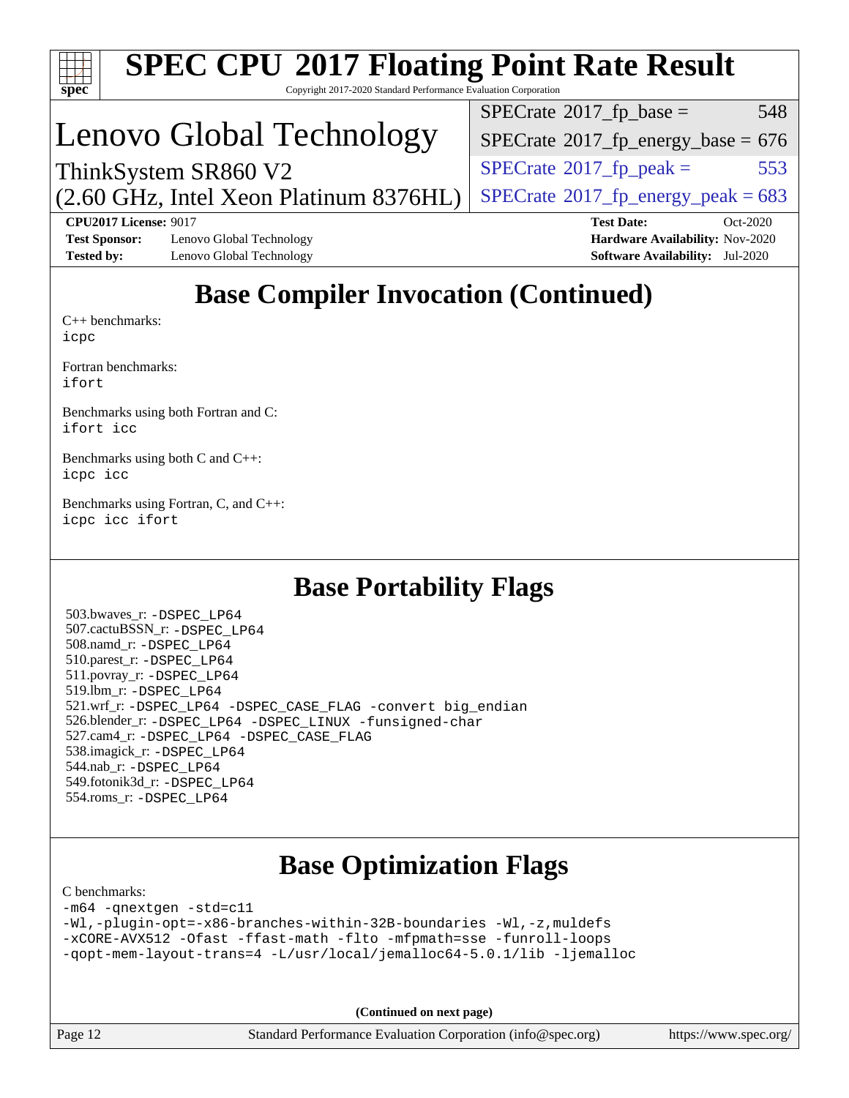

# **[SPEC CPU](http://www.spec.org/auto/cpu2017/Docs/result-fields.html#SPECCPU2017FloatingPointRateResult)[2017 Floating Point Rate Result](http://www.spec.org/auto/cpu2017/Docs/result-fields.html#SPECCPU2017FloatingPointRateResult)**

Copyright 2017-2020 Standard Performance Evaluation Corporation

# Lenovo Global Technology

 $SPECTate^{\circ}2017$ \_fp\_base = 548

 $SPECTate$ <sup>®</sup>[2017\\_fp\\_energy\\_base =](http://www.spec.org/auto/cpu2017/Docs/result-fields.html#SPECrate2017fpenergybase) 676

 $SPECTate$ <sup>®</sup>[2017\\_fp\\_energy\\_peak = 6](http://www.spec.org/auto/cpu2017/Docs/result-fields.html#SPECrate2017fpenergypeak)83

 $SPECTate@2017<sub>fr</sub> peak = 553$ 

(2.60 GHz, Intel Xeon Platinum 8376HL) ThinkSystem SR860 V2

**[CPU2017 License:](http://www.spec.org/auto/cpu2017/Docs/result-fields.html#CPU2017License)** 9017 **[Test Date:](http://www.spec.org/auto/cpu2017/Docs/result-fields.html#TestDate)** Oct-2020 **[Test Sponsor:](http://www.spec.org/auto/cpu2017/Docs/result-fields.html#TestSponsor)** Lenovo Global Technology **[Hardware Availability:](http://www.spec.org/auto/cpu2017/Docs/result-fields.html#HardwareAvailability)** Nov-2020 **[Tested by:](http://www.spec.org/auto/cpu2017/Docs/result-fields.html#Testedby)** Lenovo Global Technology **[Software Availability:](http://www.spec.org/auto/cpu2017/Docs/result-fields.html#SoftwareAvailability)** Jul-2020

## **[Base Compiler Invocation \(Continued\)](http://www.spec.org/auto/cpu2017/Docs/result-fields.html#BaseCompilerInvocation)**

[C++ benchmarks:](http://www.spec.org/auto/cpu2017/Docs/result-fields.html#CXXbenchmarks) [icpc](http://www.spec.org/cpu2017/results/res2020q4/cpu2017-20201026-24303.flags.html#user_CXXbase_intel_icpc_c510b6838c7f56d33e37e94d029a35b4a7bccf4766a728ee175e80a419847e808290a9b78be685c44ab727ea267ec2f070ec5dc83b407c0218cded6866a35d07)

[Fortran benchmarks](http://www.spec.org/auto/cpu2017/Docs/result-fields.html#Fortranbenchmarks): [ifort](http://www.spec.org/cpu2017/results/res2020q4/cpu2017-20201026-24303.flags.html#user_FCbase_intel_ifort_8111460550e3ca792625aed983ce982f94888b8b503583aa7ba2b8303487b4d8a21a13e7191a45c5fd58ff318f48f9492884d4413fa793fd88dd292cad7027ca)

[Benchmarks using both Fortran and C](http://www.spec.org/auto/cpu2017/Docs/result-fields.html#BenchmarksusingbothFortranandC): [ifort](http://www.spec.org/cpu2017/results/res2020q4/cpu2017-20201026-24303.flags.html#user_CC_FCbase_intel_ifort_8111460550e3ca792625aed983ce982f94888b8b503583aa7ba2b8303487b4d8a21a13e7191a45c5fd58ff318f48f9492884d4413fa793fd88dd292cad7027ca) [icc](http://www.spec.org/cpu2017/results/res2020q4/cpu2017-20201026-24303.flags.html#user_CC_FCbase_intel_icc_66fc1ee009f7361af1fbd72ca7dcefbb700085f36577c54f309893dd4ec40d12360134090235512931783d35fd58c0460139e722d5067c5574d8eaf2b3e37e92)

[Benchmarks using both C and C++](http://www.spec.org/auto/cpu2017/Docs/result-fields.html#BenchmarksusingbothCandCXX): [icpc](http://www.spec.org/cpu2017/results/res2020q4/cpu2017-20201026-24303.flags.html#user_CC_CXXbase_intel_icpc_c510b6838c7f56d33e37e94d029a35b4a7bccf4766a728ee175e80a419847e808290a9b78be685c44ab727ea267ec2f070ec5dc83b407c0218cded6866a35d07) [icc](http://www.spec.org/cpu2017/results/res2020q4/cpu2017-20201026-24303.flags.html#user_CC_CXXbase_intel_icc_66fc1ee009f7361af1fbd72ca7dcefbb700085f36577c54f309893dd4ec40d12360134090235512931783d35fd58c0460139e722d5067c5574d8eaf2b3e37e92)

[Benchmarks using Fortran, C, and C++:](http://www.spec.org/auto/cpu2017/Docs/result-fields.html#BenchmarksusingFortranCandCXX) [icpc](http://www.spec.org/cpu2017/results/res2020q4/cpu2017-20201026-24303.flags.html#user_CC_CXX_FCbase_intel_icpc_c510b6838c7f56d33e37e94d029a35b4a7bccf4766a728ee175e80a419847e808290a9b78be685c44ab727ea267ec2f070ec5dc83b407c0218cded6866a35d07) [icc](http://www.spec.org/cpu2017/results/res2020q4/cpu2017-20201026-24303.flags.html#user_CC_CXX_FCbase_intel_icc_66fc1ee009f7361af1fbd72ca7dcefbb700085f36577c54f309893dd4ec40d12360134090235512931783d35fd58c0460139e722d5067c5574d8eaf2b3e37e92) [ifort](http://www.spec.org/cpu2017/results/res2020q4/cpu2017-20201026-24303.flags.html#user_CC_CXX_FCbase_intel_ifort_8111460550e3ca792625aed983ce982f94888b8b503583aa7ba2b8303487b4d8a21a13e7191a45c5fd58ff318f48f9492884d4413fa793fd88dd292cad7027ca)

## **[Base Portability Flags](http://www.spec.org/auto/cpu2017/Docs/result-fields.html#BasePortabilityFlags)**

 503.bwaves\_r: [-DSPEC\\_LP64](http://www.spec.org/cpu2017/results/res2020q4/cpu2017-20201026-24303.flags.html#suite_basePORTABILITY503_bwaves_r_DSPEC_LP64) 507.cactuBSSN\_r: [-DSPEC\\_LP64](http://www.spec.org/cpu2017/results/res2020q4/cpu2017-20201026-24303.flags.html#suite_basePORTABILITY507_cactuBSSN_r_DSPEC_LP64) 508.namd\_r: [-DSPEC\\_LP64](http://www.spec.org/cpu2017/results/res2020q4/cpu2017-20201026-24303.flags.html#suite_basePORTABILITY508_namd_r_DSPEC_LP64) 510.parest\_r: [-DSPEC\\_LP64](http://www.spec.org/cpu2017/results/res2020q4/cpu2017-20201026-24303.flags.html#suite_basePORTABILITY510_parest_r_DSPEC_LP64) 511.povray\_r: [-DSPEC\\_LP64](http://www.spec.org/cpu2017/results/res2020q4/cpu2017-20201026-24303.flags.html#suite_basePORTABILITY511_povray_r_DSPEC_LP64) 519.lbm\_r: [-DSPEC\\_LP64](http://www.spec.org/cpu2017/results/res2020q4/cpu2017-20201026-24303.flags.html#suite_basePORTABILITY519_lbm_r_DSPEC_LP64) 521.wrf\_r: [-DSPEC\\_LP64](http://www.spec.org/cpu2017/results/res2020q4/cpu2017-20201026-24303.flags.html#suite_basePORTABILITY521_wrf_r_DSPEC_LP64) [-DSPEC\\_CASE\\_FLAG](http://www.spec.org/cpu2017/results/res2020q4/cpu2017-20201026-24303.flags.html#b521.wrf_r_baseCPORTABILITY_DSPEC_CASE_FLAG) [-convert big\\_endian](http://www.spec.org/cpu2017/results/res2020q4/cpu2017-20201026-24303.flags.html#user_baseFPORTABILITY521_wrf_r_convert_big_endian_c3194028bc08c63ac5d04de18c48ce6d347e4e562e8892b8bdbdc0214820426deb8554edfa529a3fb25a586e65a3d812c835984020483e7e73212c4d31a38223) 526.blender\_r: [-DSPEC\\_LP64](http://www.spec.org/cpu2017/results/res2020q4/cpu2017-20201026-24303.flags.html#suite_basePORTABILITY526_blender_r_DSPEC_LP64) [-DSPEC\\_LINUX](http://www.spec.org/cpu2017/results/res2020q4/cpu2017-20201026-24303.flags.html#b526.blender_r_baseCPORTABILITY_DSPEC_LINUX) [-funsigned-char](http://www.spec.org/cpu2017/results/res2020q4/cpu2017-20201026-24303.flags.html#user_baseCPORTABILITY526_blender_r_force_uchar_40c60f00ab013830e2dd6774aeded3ff59883ba5a1fc5fc14077f794d777847726e2a5858cbc7672e36e1b067e7e5c1d9a74f7176df07886a243d7cc18edfe67) 527.cam4\_r: [-DSPEC\\_LP64](http://www.spec.org/cpu2017/results/res2020q4/cpu2017-20201026-24303.flags.html#suite_basePORTABILITY527_cam4_r_DSPEC_LP64) [-DSPEC\\_CASE\\_FLAG](http://www.spec.org/cpu2017/results/res2020q4/cpu2017-20201026-24303.flags.html#b527.cam4_r_baseCPORTABILITY_DSPEC_CASE_FLAG) 538.imagick\_r: [-DSPEC\\_LP64](http://www.spec.org/cpu2017/results/res2020q4/cpu2017-20201026-24303.flags.html#suite_basePORTABILITY538_imagick_r_DSPEC_LP64) 544.nab\_r: [-DSPEC\\_LP64](http://www.spec.org/cpu2017/results/res2020q4/cpu2017-20201026-24303.flags.html#suite_basePORTABILITY544_nab_r_DSPEC_LP64) 549.fotonik3d\_r: [-DSPEC\\_LP64](http://www.spec.org/cpu2017/results/res2020q4/cpu2017-20201026-24303.flags.html#suite_basePORTABILITY549_fotonik3d_r_DSPEC_LP64) 554.roms\_r: [-DSPEC\\_LP64](http://www.spec.org/cpu2017/results/res2020q4/cpu2017-20201026-24303.flags.html#suite_basePORTABILITY554_roms_r_DSPEC_LP64)

## **[Base Optimization Flags](http://www.spec.org/auto/cpu2017/Docs/result-fields.html#BaseOptimizationFlags)**

#### [C benchmarks](http://www.spec.org/auto/cpu2017/Docs/result-fields.html#Cbenchmarks):

[-m64](http://www.spec.org/cpu2017/results/res2020q4/cpu2017-20201026-24303.flags.html#user_CCbase_m64-icc) [-qnextgen](http://www.spec.org/cpu2017/results/res2020q4/cpu2017-20201026-24303.flags.html#user_CCbase_f-qnextgen) [-std=c11](http://www.spec.org/cpu2017/results/res2020q4/cpu2017-20201026-24303.flags.html#user_CCbase_std-icc-std_0e1c27790398a4642dfca32ffe6c27b5796f9c2d2676156f2e42c9c44eaad0c049b1cdb667a270c34d979996257aeb8fc440bfb01818dbc9357bd9d174cb8524) [-Wl,-plugin-opt=-x86-branches-within-32B-boundaries](http://www.spec.org/cpu2017/results/res2020q4/cpu2017-20201026-24303.flags.html#user_CCbase_f-x86-branches-within-32B-boundaries_0098b4e4317ae60947b7b728078a624952a08ac37a3c797dfb4ffeb399e0c61a9dd0f2f44ce917e9361fb9076ccb15e7824594512dd315205382d84209e912f3) [-Wl,-z,muldefs](http://www.spec.org/cpu2017/results/res2020q4/cpu2017-20201026-24303.flags.html#user_CCbase_link_force_multiple1_b4cbdb97b34bdee9ceefcfe54f4c8ea74255f0b02a4b23e853cdb0e18eb4525ac79b5a88067c842dd0ee6996c24547a27a4b99331201badda8798ef8a743f577) [-xCORE-AVX512](http://www.spec.org/cpu2017/results/res2020q4/cpu2017-20201026-24303.flags.html#user_CCbase_f-xCORE-AVX512) [-Ofast](http://www.spec.org/cpu2017/results/res2020q4/cpu2017-20201026-24303.flags.html#user_CCbase_f-Ofast) [-ffast-math](http://www.spec.org/cpu2017/results/res2020q4/cpu2017-20201026-24303.flags.html#user_CCbase_f-ffast-math) [-flto](http://www.spec.org/cpu2017/results/res2020q4/cpu2017-20201026-24303.flags.html#user_CCbase_f-flto) [-mfpmath=sse](http://www.spec.org/cpu2017/results/res2020q4/cpu2017-20201026-24303.flags.html#user_CCbase_f-mfpmath_70eb8fac26bde974f8ab713bc9086c5621c0b8d2f6c86f38af0bd7062540daf19db5f3a066d8c6684be05d84c9b6322eb3b5be6619d967835195b93d6c02afa1) [-funroll-loops](http://www.spec.org/cpu2017/results/res2020q4/cpu2017-20201026-24303.flags.html#user_CCbase_f-funroll-loops) [-qopt-mem-layout-trans=4](http://www.spec.org/cpu2017/results/res2020q4/cpu2017-20201026-24303.flags.html#user_CCbase_f-qopt-mem-layout-trans_fa39e755916c150a61361b7846f310bcdf6f04e385ef281cadf3647acec3f0ae266d1a1d22d972a7087a248fd4e6ca390a3634700869573d231a252c784941a8) [-L/usr/local/jemalloc64-5.0.1/lib](http://www.spec.org/cpu2017/results/res2020q4/cpu2017-20201026-24303.flags.html#user_CCbase_jemalloc_link_path64_1_cc289568b1a6c0fd3b62c91b824c27fcb5af5e8098e6ad028160d21144ef1b8aef3170d2acf0bee98a8da324cfe4f67d0a3d0c4cc4673d993d694dc2a0df248b) [-ljemalloc](http://www.spec.org/cpu2017/results/res2020q4/cpu2017-20201026-24303.flags.html#user_CCbase_jemalloc_link_lib_d1249b907c500fa1c0672f44f562e3d0f79738ae9e3c4a9c376d49f265a04b9c99b167ecedbf6711b3085be911c67ff61f150a17b3472be731631ba4d0471706)

**(Continued on next page)**

Page 12 Standard Performance Evaluation Corporation [\(info@spec.org\)](mailto:info@spec.org) <https://www.spec.org/>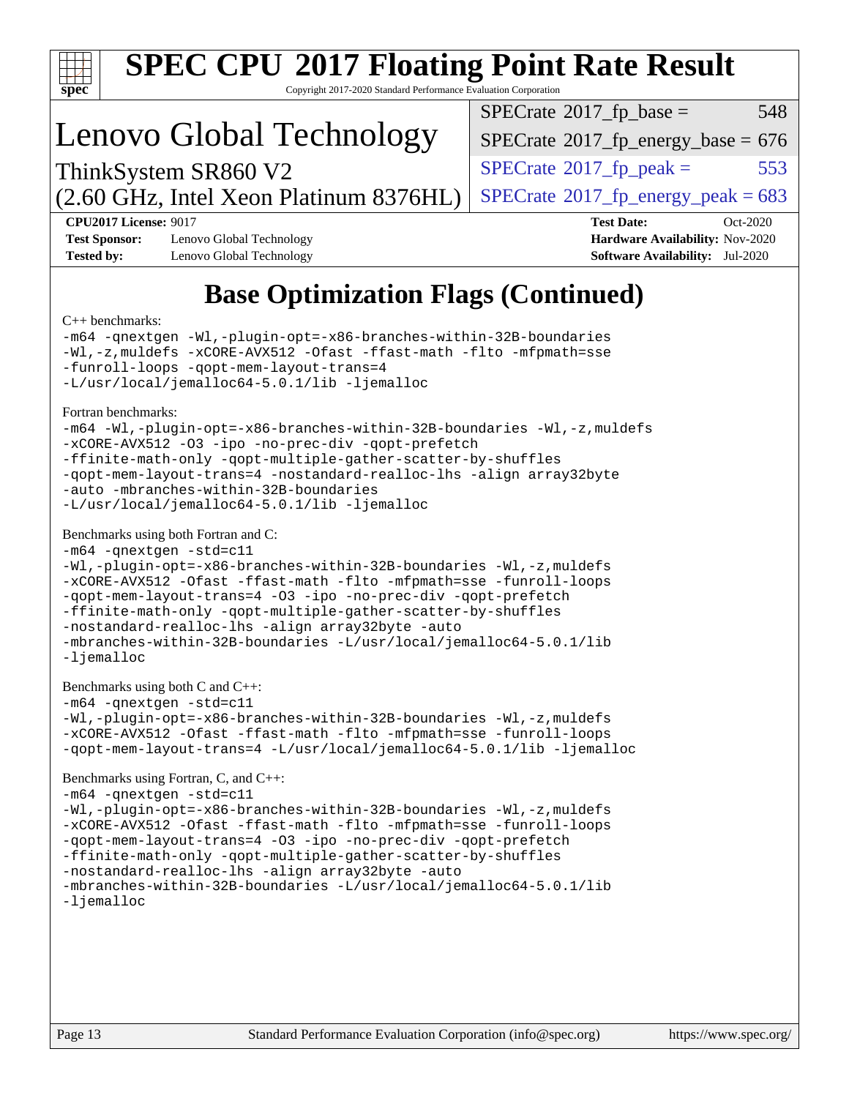

# **[SPEC CPU](http://www.spec.org/auto/cpu2017/Docs/result-fields.html#SPECCPU2017FloatingPointRateResult)[2017 Floating Point Rate Result](http://www.spec.org/auto/cpu2017/Docs/result-fields.html#SPECCPU2017FloatingPointRateResult)**

Copyright 2017-2020 Standard Performance Evaluation Corporation

# Lenovo Global Technology

 $SPECTate^{\circ}2017$ \_fp\_base = 548

 $SPECTate$ <sup>®</sup>[2017\\_fp\\_energy\\_base =](http://www.spec.org/auto/cpu2017/Docs/result-fields.html#SPECrate2017fpenergybase) 676

 $SPECTate@2017<sub>fr</sub> peak = 553$ 

(2.60 GHz, Intel Xeon Platinum 8376HL) ThinkSystem SR860 V2

 $SPECTate^{\circ}2017$ \_fp\_energy\_peak = 683 **[CPU2017 License:](http://www.spec.org/auto/cpu2017/Docs/result-fields.html#CPU2017License)** 9017 **[Test Date:](http://www.spec.org/auto/cpu2017/Docs/result-fields.html#TestDate)** Oct-2020

**[Test Sponsor:](http://www.spec.org/auto/cpu2017/Docs/result-fields.html#TestSponsor)** Lenovo Global Technology **[Hardware Availability:](http://www.spec.org/auto/cpu2017/Docs/result-fields.html#HardwareAvailability)** Nov-2020 **[Tested by:](http://www.spec.org/auto/cpu2017/Docs/result-fields.html#Testedby)** Lenovo Global Technology **[Software Availability:](http://www.spec.org/auto/cpu2017/Docs/result-fields.html#SoftwareAvailability)** Jul-2020

## **[Base Optimization Flags \(Continued\)](http://www.spec.org/auto/cpu2017/Docs/result-fields.html#BaseOptimizationFlags)**

#### [C++ benchmarks:](http://www.spec.org/auto/cpu2017/Docs/result-fields.html#CXXbenchmarks)

[-m64](http://www.spec.org/cpu2017/results/res2020q4/cpu2017-20201026-24303.flags.html#user_CXXbase_m64-icc) [-qnextgen](http://www.spec.org/cpu2017/results/res2020q4/cpu2017-20201026-24303.flags.html#user_CXXbase_f-qnextgen) [-Wl,-plugin-opt=-x86-branches-within-32B-boundaries](http://www.spec.org/cpu2017/results/res2020q4/cpu2017-20201026-24303.flags.html#user_CXXbase_f-x86-branches-within-32B-boundaries_0098b4e4317ae60947b7b728078a624952a08ac37a3c797dfb4ffeb399e0c61a9dd0f2f44ce917e9361fb9076ccb15e7824594512dd315205382d84209e912f3) [-Wl,-z,muldefs](http://www.spec.org/cpu2017/results/res2020q4/cpu2017-20201026-24303.flags.html#user_CXXbase_link_force_multiple1_b4cbdb97b34bdee9ceefcfe54f4c8ea74255f0b02a4b23e853cdb0e18eb4525ac79b5a88067c842dd0ee6996c24547a27a4b99331201badda8798ef8a743f577) [-xCORE-AVX512](http://www.spec.org/cpu2017/results/res2020q4/cpu2017-20201026-24303.flags.html#user_CXXbase_f-xCORE-AVX512) [-Ofast](http://www.spec.org/cpu2017/results/res2020q4/cpu2017-20201026-24303.flags.html#user_CXXbase_f-Ofast) [-ffast-math](http://www.spec.org/cpu2017/results/res2020q4/cpu2017-20201026-24303.flags.html#user_CXXbase_f-ffast-math) [-flto](http://www.spec.org/cpu2017/results/res2020q4/cpu2017-20201026-24303.flags.html#user_CXXbase_f-flto) [-mfpmath=sse](http://www.spec.org/cpu2017/results/res2020q4/cpu2017-20201026-24303.flags.html#user_CXXbase_f-mfpmath_70eb8fac26bde974f8ab713bc9086c5621c0b8d2f6c86f38af0bd7062540daf19db5f3a066d8c6684be05d84c9b6322eb3b5be6619d967835195b93d6c02afa1) [-funroll-loops](http://www.spec.org/cpu2017/results/res2020q4/cpu2017-20201026-24303.flags.html#user_CXXbase_f-funroll-loops) [-qopt-mem-layout-trans=4](http://www.spec.org/cpu2017/results/res2020q4/cpu2017-20201026-24303.flags.html#user_CXXbase_f-qopt-mem-layout-trans_fa39e755916c150a61361b7846f310bcdf6f04e385ef281cadf3647acec3f0ae266d1a1d22d972a7087a248fd4e6ca390a3634700869573d231a252c784941a8) [-L/usr/local/jemalloc64-5.0.1/lib](http://www.spec.org/cpu2017/results/res2020q4/cpu2017-20201026-24303.flags.html#user_CXXbase_jemalloc_link_path64_1_cc289568b1a6c0fd3b62c91b824c27fcb5af5e8098e6ad028160d21144ef1b8aef3170d2acf0bee98a8da324cfe4f67d0a3d0c4cc4673d993d694dc2a0df248b) [-ljemalloc](http://www.spec.org/cpu2017/results/res2020q4/cpu2017-20201026-24303.flags.html#user_CXXbase_jemalloc_link_lib_d1249b907c500fa1c0672f44f562e3d0f79738ae9e3c4a9c376d49f265a04b9c99b167ecedbf6711b3085be911c67ff61f150a17b3472be731631ba4d0471706)

[Fortran benchmarks](http://www.spec.org/auto/cpu2017/Docs/result-fields.html#Fortranbenchmarks):

```
-m64 -Wl,-plugin-opt=-x86-branches-within-32B-boundaries -Wl,-z,muldefs
-xCORE-AVX512 -O3 -ipo -no-prec-div -qopt-prefetch
-ffinite-math-only -qopt-multiple-gather-scatter-by-shuffles
-qopt-mem-layout-trans=4 -nostandard-realloc-lhs -align array32byte
-auto -mbranches-within-32B-boundaries
-L/usr/local/jemalloc64-5.0.1/lib -ljemalloc
```
#### [Benchmarks using both Fortran and C](http://www.spec.org/auto/cpu2017/Docs/result-fields.html#BenchmarksusingbothFortranandC):

```
-m64 -qnextgen -std=c11
-Wl,-plugin-opt=-x86-branches-within-32B-boundaries -Wl,-z,muldefs
-xCORE-AVX512 -Ofast -ffast-math -flto -mfpmath=sse -funroll-loops
-qopt-mem-layout-trans=4 -O3 -ipo -no-prec-div -qopt-prefetch
-ffinite-math-only -qopt-multiple-gather-scatter-by-shuffles
-nostandard-realloc-lhs -align array32byte -auto
-mbranches-within-32B-boundaries -L/usr/local/jemalloc64-5.0.1/lib
-ljemalloc
```
[Benchmarks using both C and C++](http://www.spec.org/auto/cpu2017/Docs/result-fields.html#BenchmarksusingbothCandCXX):

[-m64](http://www.spec.org/cpu2017/results/res2020q4/cpu2017-20201026-24303.flags.html#user_CC_CXXbase_m64-icc) [-qnextgen](http://www.spec.org/cpu2017/results/res2020q4/cpu2017-20201026-24303.flags.html#user_CC_CXXbase_f-qnextgen) [-std=c11](http://www.spec.org/cpu2017/results/res2020q4/cpu2017-20201026-24303.flags.html#user_CC_CXXbase_std-icc-std_0e1c27790398a4642dfca32ffe6c27b5796f9c2d2676156f2e42c9c44eaad0c049b1cdb667a270c34d979996257aeb8fc440bfb01818dbc9357bd9d174cb8524) [-Wl,-plugin-opt=-x86-branches-within-32B-boundaries](http://www.spec.org/cpu2017/results/res2020q4/cpu2017-20201026-24303.flags.html#user_CC_CXXbase_f-x86-branches-within-32B-boundaries_0098b4e4317ae60947b7b728078a624952a08ac37a3c797dfb4ffeb399e0c61a9dd0f2f44ce917e9361fb9076ccb15e7824594512dd315205382d84209e912f3) [-Wl,-z,muldefs](http://www.spec.org/cpu2017/results/res2020q4/cpu2017-20201026-24303.flags.html#user_CC_CXXbase_link_force_multiple1_b4cbdb97b34bdee9ceefcfe54f4c8ea74255f0b02a4b23e853cdb0e18eb4525ac79b5a88067c842dd0ee6996c24547a27a4b99331201badda8798ef8a743f577) [-xCORE-AVX512](http://www.spec.org/cpu2017/results/res2020q4/cpu2017-20201026-24303.flags.html#user_CC_CXXbase_f-xCORE-AVX512) [-Ofast](http://www.spec.org/cpu2017/results/res2020q4/cpu2017-20201026-24303.flags.html#user_CC_CXXbase_f-Ofast) [-ffast-math](http://www.spec.org/cpu2017/results/res2020q4/cpu2017-20201026-24303.flags.html#user_CC_CXXbase_f-ffast-math) [-flto](http://www.spec.org/cpu2017/results/res2020q4/cpu2017-20201026-24303.flags.html#user_CC_CXXbase_f-flto) [-mfpmath=sse](http://www.spec.org/cpu2017/results/res2020q4/cpu2017-20201026-24303.flags.html#user_CC_CXXbase_f-mfpmath_70eb8fac26bde974f8ab713bc9086c5621c0b8d2f6c86f38af0bd7062540daf19db5f3a066d8c6684be05d84c9b6322eb3b5be6619d967835195b93d6c02afa1) [-funroll-loops](http://www.spec.org/cpu2017/results/res2020q4/cpu2017-20201026-24303.flags.html#user_CC_CXXbase_f-funroll-loops) [-qopt-mem-layout-trans=4](http://www.spec.org/cpu2017/results/res2020q4/cpu2017-20201026-24303.flags.html#user_CC_CXXbase_f-qopt-mem-layout-trans_fa39e755916c150a61361b7846f310bcdf6f04e385ef281cadf3647acec3f0ae266d1a1d22d972a7087a248fd4e6ca390a3634700869573d231a252c784941a8) [-L/usr/local/jemalloc64-5.0.1/lib](http://www.spec.org/cpu2017/results/res2020q4/cpu2017-20201026-24303.flags.html#user_CC_CXXbase_jemalloc_link_path64_1_cc289568b1a6c0fd3b62c91b824c27fcb5af5e8098e6ad028160d21144ef1b8aef3170d2acf0bee98a8da324cfe4f67d0a3d0c4cc4673d993d694dc2a0df248b) [-ljemalloc](http://www.spec.org/cpu2017/results/res2020q4/cpu2017-20201026-24303.flags.html#user_CC_CXXbase_jemalloc_link_lib_d1249b907c500fa1c0672f44f562e3d0f79738ae9e3c4a9c376d49f265a04b9c99b167ecedbf6711b3085be911c67ff61f150a17b3472be731631ba4d0471706)

#### [Benchmarks using Fortran, C, and C++:](http://www.spec.org/auto/cpu2017/Docs/result-fields.html#BenchmarksusingFortranCandCXX)

```
-m64 -qnextgen -std=c11
-Wl,-plugin-opt=-x86-branches-within-32B-boundaries -Wl,-z,muldefs
-xCORE-AVX512 -Ofast -ffast-math -flto -mfpmath=sse -funroll-loops
-qopt-mem-layout-trans=4 -O3 -ipo -no-prec-div -qopt-prefetch
-ffinite-math-only -qopt-multiple-gather-scatter-by-shuffles
-nostandard-realloc-lhs -align array32byte -auto
-mbranches-within-32B-boundaries -L/usr/local/jemalloc64-5.0.1/lib
-ljemalloc
```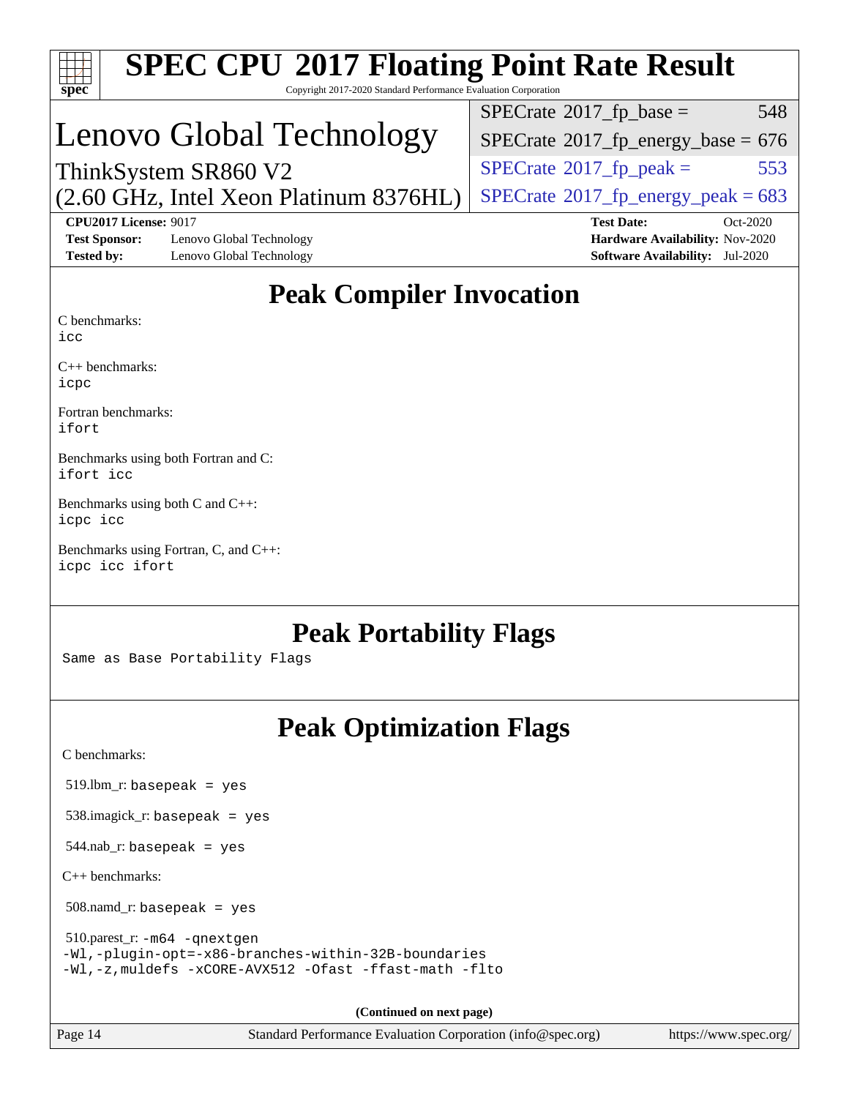| $\mathbf{Spec}^*$                                                         | <b>SPEC CPU®2017 Floating Point Rate Result</b><br>Copyright 2017-2020 Standard Performance Evaluation Corporation |                                                                                                            |
|---------------------------------------------------------------------------|--------------------------------------------------------------------------------------------------------------------|------------------------------------------------------------------------------------------------------------|
|                                                                           |                                                                                                                    | 548<br>$SPECrate^{\circledcirc}2017_fp\_base =$                                                            |
|                                                                           | Lenovo Global Technology                                                                                           | $SPECTate$ <sup>®</sup> 2017_fp_energy_base = 676                                                          |
|                                                                           | ThinkSystem SR860 V2                                                                                               | $SPECrate^{\circ}2017$ _fp_peak =<br>553                                                                   |
|                                                                           | (2.60 GHz, Intel Xeon Platinum 8376HL)                                                                             | $SPECTate$ <sup>®</sup> 2017_fp_energy_peak = 683                                                          |
| <b>CPU2017 License: 9017</b><br><b>Test Sponsor:</b><br><b>Tested by:</b> | Lenovo Global Technology<br>Lenovo Global Technology                                                               | <b>Test Date:</b><br>Oct-2020<br>Hardware Availability: Nov-2020<br><b>Software Availability:</b> Jul-2020 |
|                                                                           | <b>Peak Compiler Invocation</b>                                                                                    |                                                                                                            |
| C benchmarks:<br>icc                                                      |                                                                                                                    |                                                                                                            |
| $C++$ benchmarks:<br>icpc                                                 |                                                                                                                    |                                                                                                            |
| Fortran benchmarks:<br>ifort                                              |                                                                                                                    |                                                                                                            |
| ifort icc                                                                 | Benchmarks using both Fortran and C:                                                                               |                                                                                                            |
| Benchmarks using both C and C++:<br>icpc icc                              |                                                                                                                    |                                                                                                            |
| icpc icc ifort                                                            | Benchmarks using Fortran, C, and C++:                                                                              |                                                                                                            |
|                                                                           | <b>Peak Portability Flags</b><br>Same as Base Portability Flags                                                    |                                                                                                            |
|                                                                           | <b>Peak Optimization Flags</b>                                                                                     |                                                                                                            |
| C benchmarks:                                                             |                                                                                                                    |                                                                                                            |
| $519.$ lbm_r: basepeak = yes                                              |                                                                                                                    |                                                                                                            |
|                                                                           | $538.\text{imagek}_r$ : basepeak = yes                                                                             |                                                                                                            |
| $544$ .nab_r: basepeak = yes                                              |                                                                                                                    |                                                                                                            |
| $C++$ benchmarks:                                                         |                                                                                                                    |                                                                                                            |
| $508.namd_r: basepeak = yes$                                              |                                                                                                                    |                                                                                                            |
| 510.parest_r: -m64 -qnextgen                                              | -Wl,-plugin-opt=-x86-branches-within-32B-boundaries<br>-Wl,-z, muldefs -xCORE-AVX512 -Ofast -ffast-math -flto      |                                                                                                            |
|                                                                           | (Continued on next page)                                                                                           |                                                                                                            |
| Page 14                                                                   | Standard Performance Evaluation Corporation (info@spec.org)                                                        | https://www.spec.org/                                                                                      |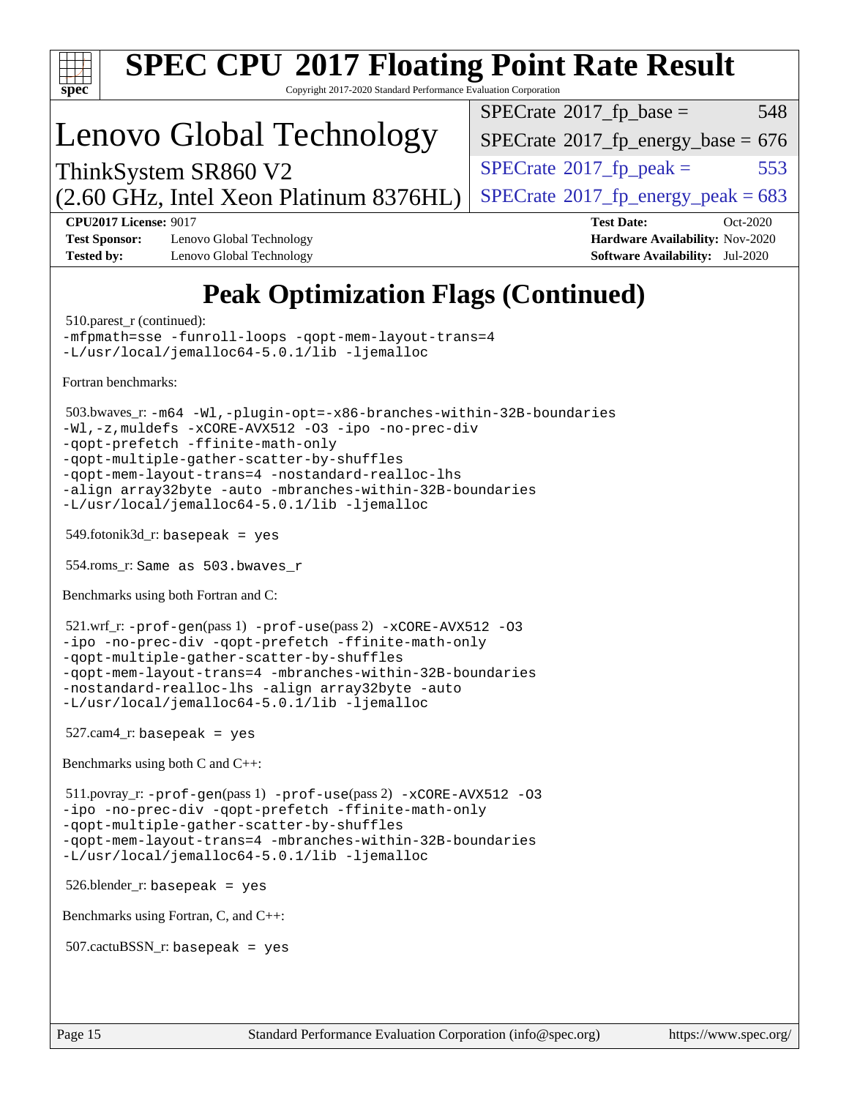